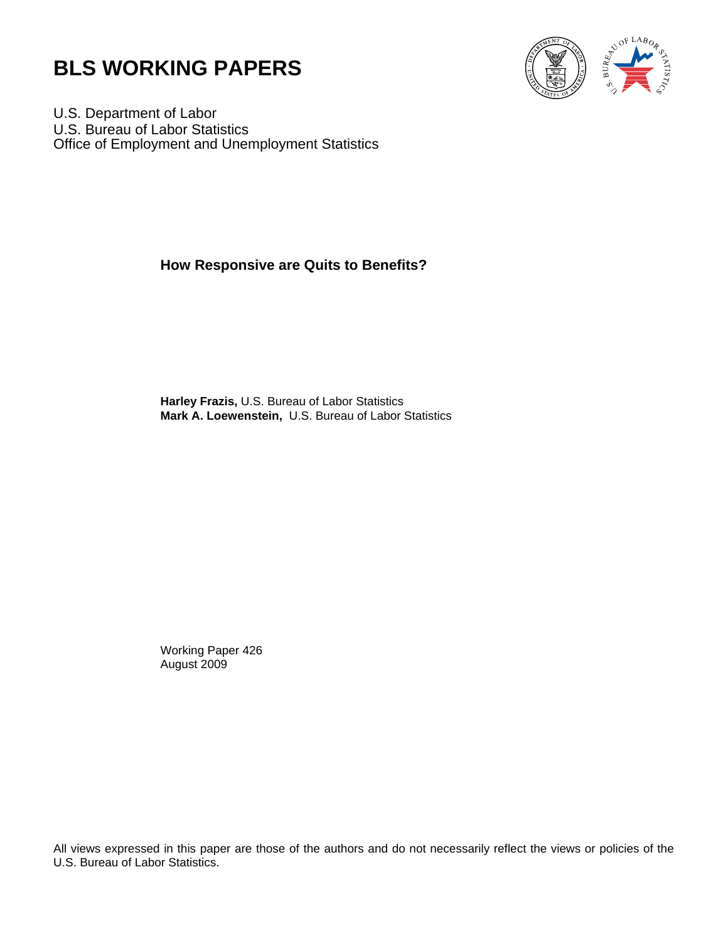



U.S. Department of Labor U.S. Bureau of Labor Statistics Office of Employment and Unemployment Statistics

**How Responsive are Quits to Benefits?** 

**Harley Frazis,** U.S. Bureau of Labor Statistics **Mark A. Loewenstein,** U.S. Bureau of Labor Statistics

Working Paper 426 August 2009

All views expressed in this paper are those of the authors and do not necessarily reflect the views or policies of the U.S. Bureau of Labor Statistics.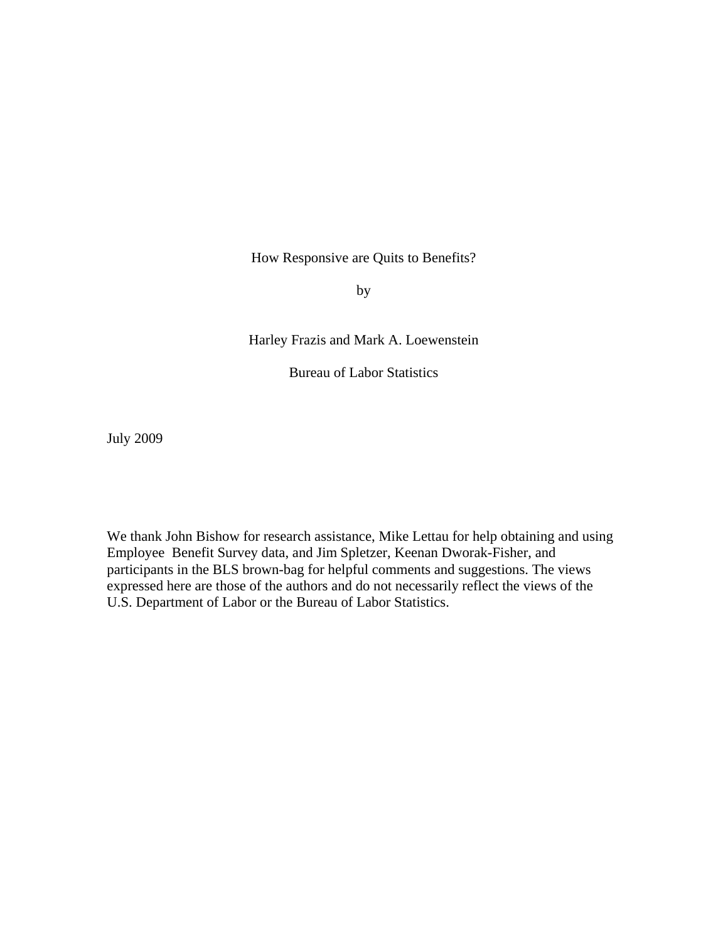How Responsive are Quits to Benefits?

by

Harley Frazis and Mark A. Loewenstein

Bureau of Labor Statistics

July 2009

We thank John Bishow for research assistance, Mike Lettau for help obtaining and using Employee Benefit Survey data, and Jim Spletzer, Keenan Dworak-Fisher, and participants in the BLS brown-bag for helpful comments and suggestions. The views expressed here are those of the authors and do not necessarily reflect the views of the U.S. Department of Labor or the Bureau of Labor Statistics.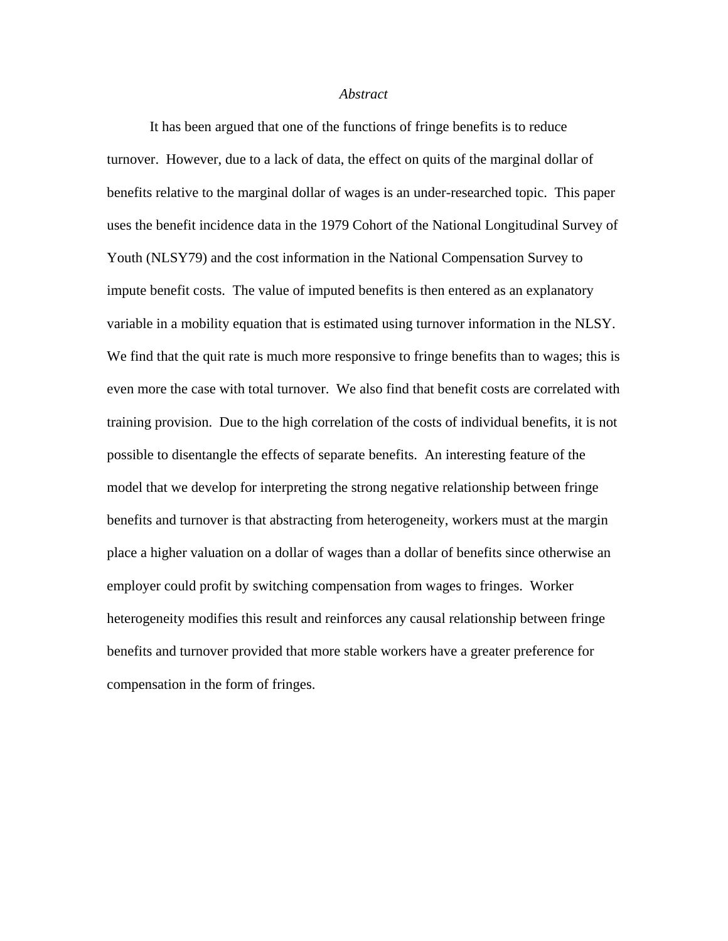### *Abstract*

It has been argued that one of the functions of fringe benefits is to reduce turnover. However, due to a lack of data, the effect on quits of the marginal dollar of benefits relative to the marginal dollar of wages is an under-researched topic. This paper uses the benefit incidence data in the 1979 Cohort of the National Longitudinal Survey of Youth (NLSY79) and the cost information in the National Compensation Survey to impute benefit costs. The value of imputed benefits is then entered as an explanatory variable in a mobility equation that is estimated using turnover information in the NLSY. We find that the quit rate is much more responsive to fringe benefits than to wages; this is even more the case with total turnover. We also find that benefit costs are correlated with training provision. Due to the high correlation of the costs of individual benefits, it is not possible to disentangle the effects of separate benefits. An interesting feature of the model that we develop for interpreting the strong negative relationship between fringe benefits and turnover is that abstracting from heterogeneity, workers must at the margin place a higher valuation on a dollar of wages than a dollar of benefits since otherwise an employer could profit by switching compensation from wages to fringes. Worker heterogeneity modifies this result and reinforces any causal relationship between fringe benefits and turnover provided that more stable workers have a greater preference for compensation in the form of fringes.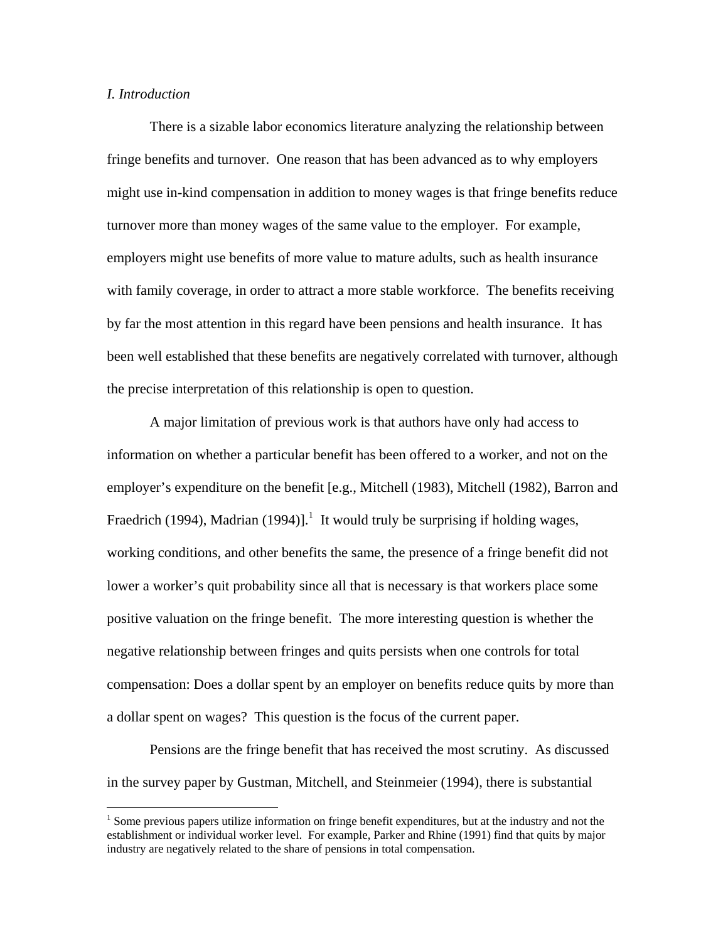### *I. Introduction*

 $\overline{a}$ 

There is a sizable labor economics literature analyzing the relationship between fringe benefits and turnover. One reason that has been advanced as to why employers might use in-kind compensation in addition to money wages is that fringe benefits reduce turnover more than money wages of the same value to the employer. For example, employers might use benefits of more value to mature adults, such as health insurance with family coverage, in order to attract a more stable workforce. The benefits receiving by far the most attention in this regard have been pensions and health insurance. It has been well established that these benefits are negatively correlated with turnover, although the precise interpretation of this relationship is open to question.

A major limitation of previous work is that authors have only had access to information on whether a particular benefit has been offered to a worker, and not on the employer's expenditure on the benefit [e.g., Mitchell (1983), Mitchell (1982), Barron and Fraedrich (1994), Madrian (1994)].<sup>1</sup> It would truly be surprising if holding wages, working conditions, and other benefits the same, the presence of a fringe benefit did not lower a worker's quit probability since all that is necessary is that workers place some positive valuation on the fringe benefit. The more interesting question is whether the negative relationship between fringes and quits persists when one controls for total compensation: Does a dollar spent by an employer on benefits reduce quits by more than a dollar spent on wages? This question is the focus of the current paper.

Pensions are the fringe benefit that has received the most scrutiny. As discussed in the survey paper by Gustman, Mitchell, and Steinmeier (1994), there is substantial

<sup>&</sup>lt;sup>1</sup> Some previous papers utilize information on fringe benefit expenditures, but at the industry and not the establishment or individual worker level. For example, Parker and Rhine (1991) find that quits by major industry are negatively related to the share of pensions in total compensation.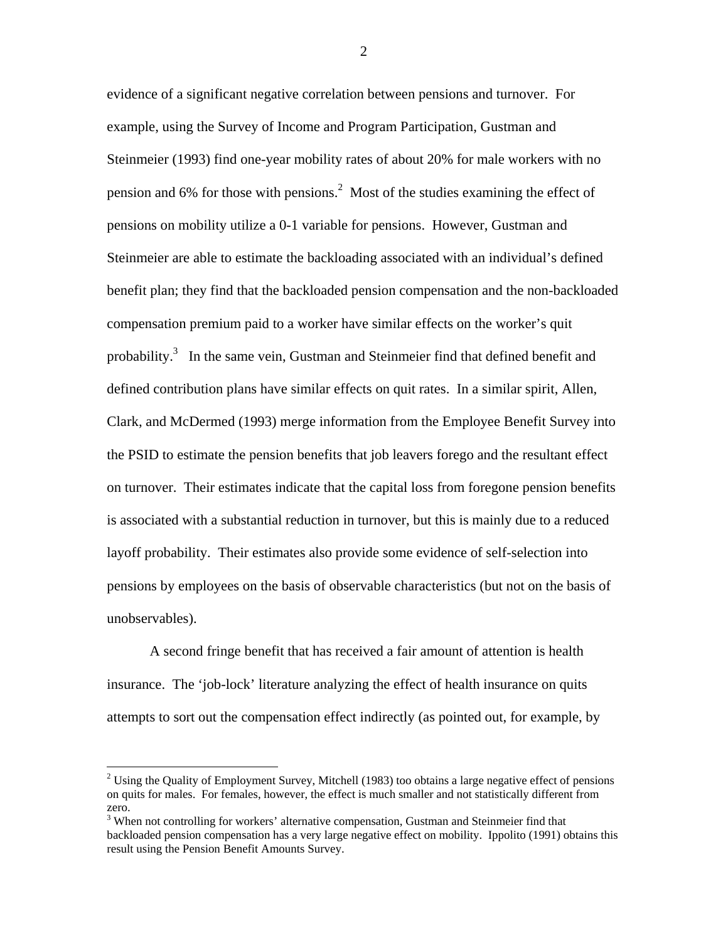evidence of a significant negative correlation between pensions and turnover. For example, using the Survey of Income and Program Participation, Gustman and Steinmeier (1993) find one-year mobility rates of about 20% for male workers with no pension and 6% for those with pensions.<sup>2</sup> Most of the studies examining the effect of pensions on mobility utilize a 0-1 variable for pensions. However, Gustman and Steinmeier are able to estimate the backloading associated with an individual's defined benefit plan; they find that the backloaded pension compensation and the non-backloaded compensation premium paid to a worker have similar effects on the worker's quit probability.<sup>3</sup> In the same vein, Gustman and Steinmeier find that defined benefit and defined contribution plans have similar effects on quit rates. In a similar spirit, Allen, Clark, and McDermed (1993) merge information from the Employee Benefit Survey into the PSID to estimate the pension benefits that job leavers forego and the resultant effect on turnover. Their estimates indicate that the capital loss from foregone pension benefits is associated with a substantial reduction in turnover, but this is mainly due to a reduced layoff probability. Their estimates also provide some evidence of self-selection into pensions by employees on the basis of observable characteristics (but not on the basis of unobservables).

A second fringe benefit that has received a fair amount of attention is health insurance. The 'job-lock' literature analyzing the effect of health insurance on quits attempts to sort out the compensation effect indirectly (as pointed out, for example, by

1

<sup>&</sup>lt;sup>2</sup> Using the Quality of Employment Survey, Mitchell (1983) too obtains a large negative effect of pensions on quits for males. For females, however, the effect is much smaller and not statistically different from zero.

 $3$  When not controlling for workers' alternative compensation, Gustman and Steinmeier find that backloaded pension compensation has a very large negative effect on mobility. Ippolito (1991) obtains this result using the Pension Benefit Amounts Survey.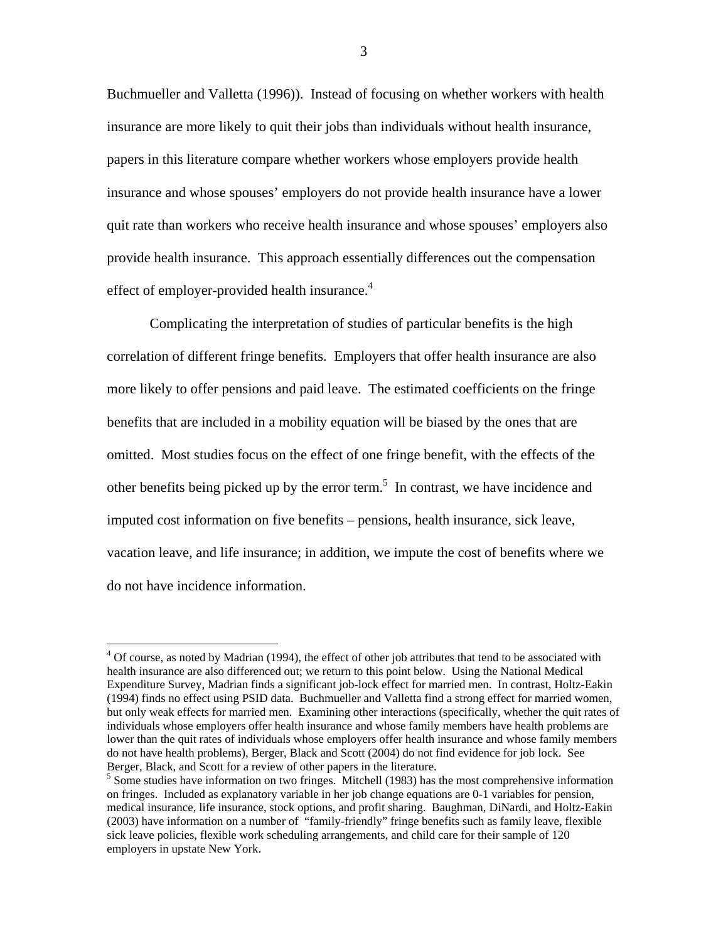Buchmueller and Valletta (1996)). Instead of focusing on whether workers with health insurance are more likely to quit their jobs than individuals without health insurance, papers in this literature compare whether workers whose employers provide health insurance and whose spouses' employers do not provide health insurance have a lower quit rate than workers who receive health insurance and whose spouses' employers also provide health insurance. This approach essentially differences out the compensation effect of employer-provided health insurance.<sup>4</sup>

Complicating the interpretation of studies of particular benefits is the high correlation of different fringe benefits. Employers that offer health insurance are also more likely to offer pensions and paid leave. The estimated coefficients on the fringe benefits that are included in a mobility equation will be biased by the ones that are omitted. Most studies focus on the effect of one fringe benefit, with the effects of the other benefits being picked up by the error term.<sup>5</sup> In contrast, we have incidence and imputed cost information on five benefits – pensions, health insurance, sick leave, vacation leave, and life insurance; in addition, we impute the cost of benefits where we do not have incidence information.

 $\overline{a}$ 

<sup>&</sup>lt;sup>4</sup> Of course, as noted by Madrian (1994), the effect of other job attributes that tend to be associated with health insurance are also differenced out; we return to this point below. Using the National Medical Expenditure Survey, Madrian finds a significant job-lock effect for married men. In contrast, Holtz-Eakin (1994) finds no effect using PSID data. Buchmueller and Valletta find a strong effect for married women, but only weak effects for married men. Examining other interactions (specifically, whether the quit rates of individuals whose employers offer health insurance and whose family members have health problems are lower than the quit rates of individuals whose employers offer health insurance and whose family members do not have health problems), Berger, Black and Scott (2004) do not find evidence for job lock. See Berger, Black, and Scott for a review of other papers in the literature.

<sup>&</sup>lt;sup>5</sup> Some studies have information on two fringes. Mitchell (1983) has the most comprehensive information on fringes. Included as explanatory variable in her job change equations are 0-1 variables for pension, medical insurance, life insurance, stock options, and profit sharing. Baughman, DiNardi, and Holtz-Eakin (2003) have information on a number of "family-friendly" fringe benefits such as family leave, flexible sick leave policies, flexible work scheduling arrangements, and child care for their sample of 120 employers in upstate New York.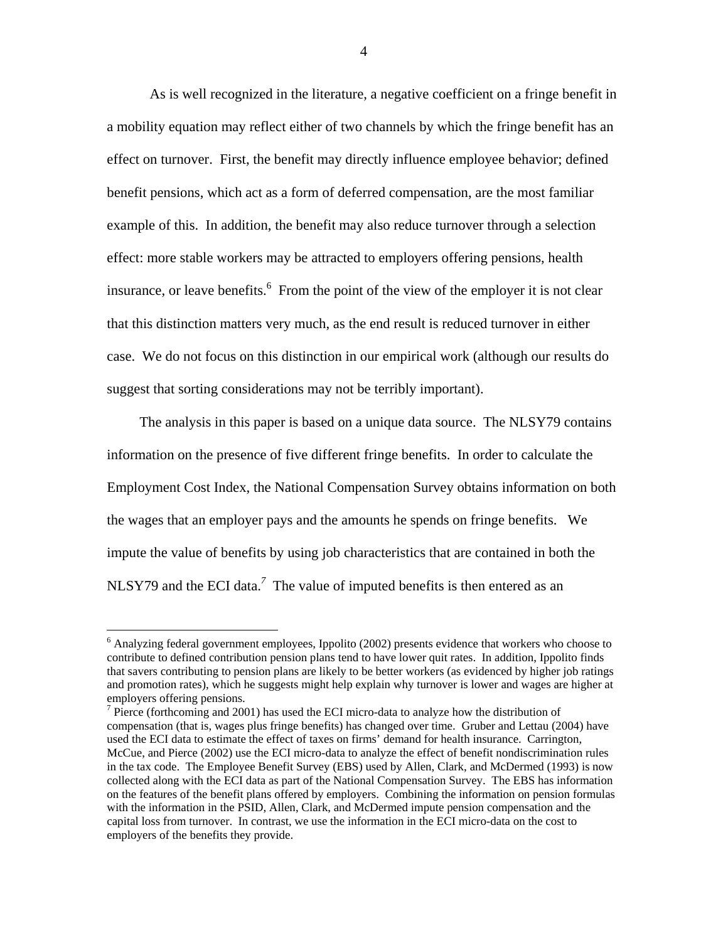As is well recognized in the literature, a negative coefficient on a fringe benefit in a mobility equation may reflect either of two channels by which the fringe benefit has an effect on turnover. First, the benefit may directly influence employee behavior; defined benefit pensions, which act as a form of deferred compensation, are the most familiar example of this. In addition, the benefit may also reduce turnover through a selection effect: more stable workers may be attracted to employers offering pensions, health insurance, or leave benefits.<sup>6</sup> From the point of the view of the employer it is not clear that this distinction matters very much, as the end result is reduced turnover in either case. We do not focus on this distinction in our empirical work (although our results do suggest that sorting considerations may not be terribly important).

The analysis in this paper is based on a unique data source. The NLSY79 contains information on the presence of five different fringe benefits. In order to calculate the Employment Cost Index, the National Compensation Survey obtains information on both the wages that an employer pays and the amounts he spends on fringe benefits. We impute the value of benefits by using job characteristics that are contained in both the NLSY79 and the ECI data.<sup>7</sup> The value of imputed benefits is then entered as an

 $\overline{a}$ 

<sup>&</sup>lt;sup>6</sup> Analyzing federal government employees, Ippolito (2002) presents evidence that workers who choose to contribute to defined contribution pension plans tend to have lower quit rates. In addition, Ippolito finds that savers contributing to pension plans are likely to be better workers (as evidenced by higher job ratings and promotion rates), which he suggests might help explain why turnover is lower and wages are higher at employers offering pensions.

 $<sup>7</sup>$  Pierce (forthcoming and 2001) has used the ECI micro-data to analyze how the distribution of</sup> compensation (that is, wages plus fringe benefits) has changed over time. Gruber and Lettau (2004) have used the ECI data to estimate the effect of taxes on firms' demand for health insurance. Carrington, McCue, and Pierce (2002) use the ECI micro-data to analyze the effect of benefit nondiscrimination rules in the tax code. The Employee Benefit Survey (EBS) used by Allen, Clark, and McDermed (1993) is now collected along with the ECI data as part of the National Compensation Survey. The EBS has information on the features of the benefit plans offered by employers. Combining the information on pension formulas with the information in the PSID, Allen, Clark, and McDermed impute pension compensation and the capital loss from turnover. In contrast, we use the information in the ECI micro-data on the cost to employers of the benefits they provide.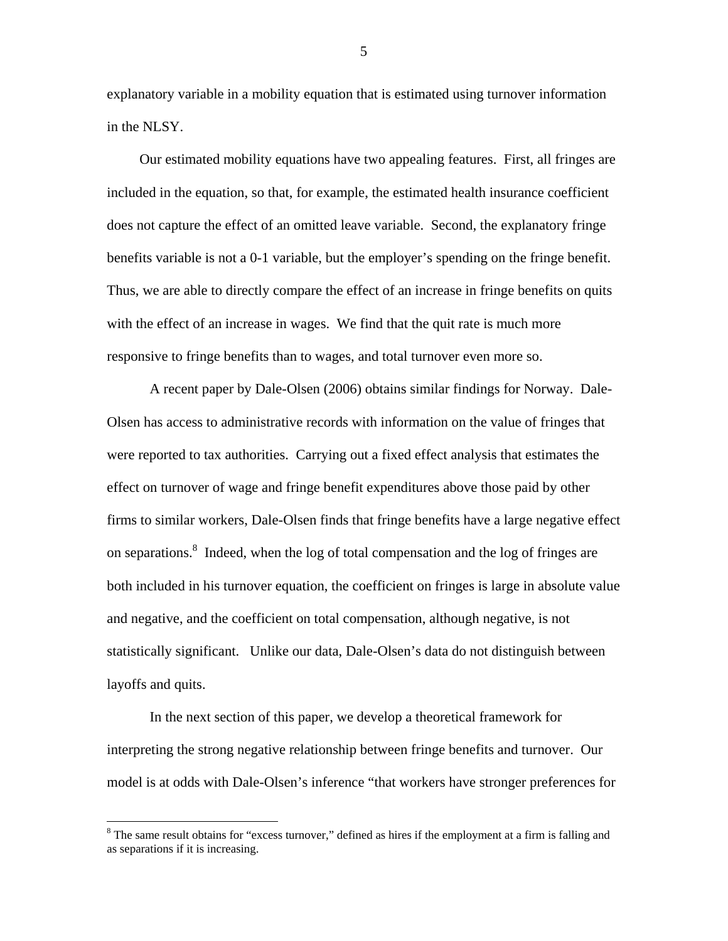explanatory variable in a mobility equation that is estimated using turnover information in the NLSY.

Our estimated mobility equations have two appealing features. First, all fringes are included in the equation, so that, for example, the estimated health insurance coefficient does not capture the effect of an omitted leave variable. Second, the explanatory fringe benefits variable is not a 0-1 variable, but the employer's spending on the fringe benefit. Thus, we are able to directly compare the effect of an increase in fringe benefits on quits with the effect of an increase in wages. We find that the quit rate is much more responsive to fringe benefits than to wages, and total turnover even more so.

A recent paper by Dale-Olsen (2006) obtains similar findings for Norway. Dale-Olsen has access to administrative records with information on the value of fringes that were reported to tax authorities. Carrying out a fixed effect analysis that estimates the effect on turnover of wage and fringe benefit expenditures above those paid by other firms to similar workers, Dale-Olsen finds that fringe benefits have a large negative effect on separations.<sup>8</sup> Indeed, when the log of total compensation and the log of fringes are both included in his turnover equation, the coefficient on fringes is large in absolute value and negative, and the coefficient on total compensation, although negative, is not statistically significant. Unlike our data, Dale-Olsen's data do not distinguish between layoffs and quits.

In the next section of this paper, we develop a theoretical framework for interpreting the strong negative relationship between fringe benefits and turnover. Our model is at odds with Dale-Olsen's inference "that workers have stronger preferences for

1

<sup>&</sup>lt;sup>8</sup> The same result obtains for "excess turnover," defined as hires if the employment at a firm is falling and as separations if it is increasing.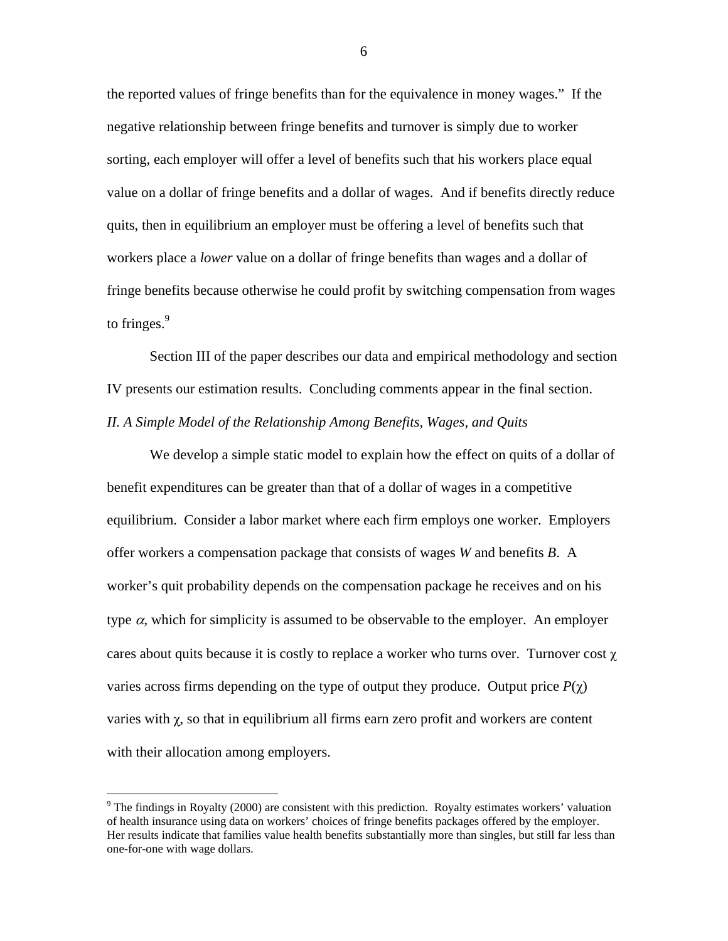the reported values of fringe benefits than for the equivalence in money wages." If the negative relationship between fringe benefits and turnover is simply due to worker sorting, each employer will offer a level of benefits such that his workers place equal value on a dollar of fringe benefits and a dollar of wages. And if benefits directly reduce quits, then in equilibrium an employer must be offering a level of benefits such that workers place a *lower* value on a dollar of fringe benefits than wages and a dollar of fringe benefits because otherwise he could profit by switching compensation from wages to fringes. $9$ 

Section III of the paper describes our data and empirical methodology and section IV presents our estimation results. Concluding comments appear in the final section. *II. A Simple Model of the Relationship Among Benefits, Wages, and Quits* 

We develop a simple static model to explain how the effect on quits of a dollar of benefit expenditures can be greater than that of a dollar of wages in a competitive equilibrium. Consider a labor market where each firm employs one worker. Employers offer workers a compensation package that consists of wages *W* and benefits *B*. A worker's quit probability depends on the compensation package he receives and on his type  $\alpha$ , which for simplicity is assumed to be observable to the employer. An employer cares about quits because it is costly to replace a worker who turns over. Turnover cost  $\chi$ varies across firms depending on the type of output they produce. Output price  $P(\gamma)$ varies with χ, so that in equilibrium all firms earn zero profit and workers are content with their allocation among employers.

 $\overline{a}$ 

 $9$  The findings in Royalty (2000) are consistent with this prediction. Royalty estimates workers' valuation of health insurance using data on workers' choices of fringe benefits packages offered by the employer. Her results indicate that families value health benefits substantially more than singles, but still far less than one-for-one with wage dollars.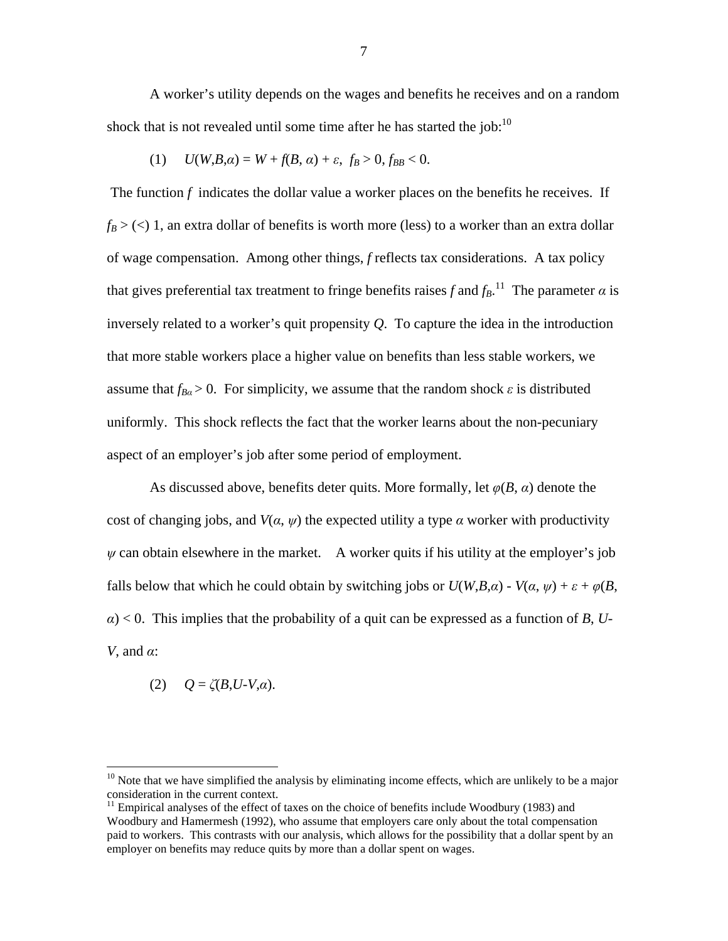A worker's utility depends on the wages and benefits he receives and on a random shock that is not revealed until some time after he has started the job:<sup>10</sup>

(1) 
$$
U(W,B,\alpha) = W + f(B,\alpha) + \varepsilon, f_B > 0, f_{BB} < 0.
$$

The function *f* indicates the dollar value a worker places on the benefits he receives. If  $f_B$  > (<) 1, an extra dollar of benefits is worth more (less) to a worker than an extra dollar of wage compensation. Among other things, *f* reflects tax considerations. A tax policy that gives preferential tax treatment to fringe benefits raises  $f$  and  $f_B$ .<sup>11</sup> The parameter  $\alpha$  is inversely related to a worker's quit propensity *Q*. To capture the idea in the introduction that more stable workers place a higher value on benefits than less stable workers, we assume that  $f_{Ba} > 0$ . For simplicity, we assume that the random shock  $\varepsilon$  is distributed uniformly. This shock reflects the fact that the worker learns about the non-pecuniary aspect of an employer's job after some period of employment.

As discussed above, benefits deter quits. More formally, let *φ*(*B*, *α*) denote the cost of changing jobs, and  $V(\alpha, \psi)$  the expected utility a type  $\alpha$  worker with productivity  $\psi$  can obtain elsewhere in the market. A worker quits if his utility at the employer's job falls below that which he could obtain by switching jobs or  $U(W,B,\alpha)$  -  $V(\alpha, \psi) + \varepsilon + \varphi(B,\alpha)$  $\alpha$   $\geq$  0. This implies that the probability of a quit can be expressed as a function of *B*, *U*-*V*, and *α*:

$$
(2) \qquad Q = \zeta(B, U \cdot V, \alpha).
$$

 $10$  Note that we have simplified the analysis by eliminating income effects, which are unlikely to be a major consideration in the current context.

 $11$  Empirical analyses of the effect of taxes on the choice of benefits include Woodbury (1983) and Woodbury and Hamermesh (1992), who assume that employers care only about the total compensation paid to workers. This contrasts with our analysis, which allows for the possibility that a dollar spent by an employer on benefits may reduce quits by more than a dollar spent on wages.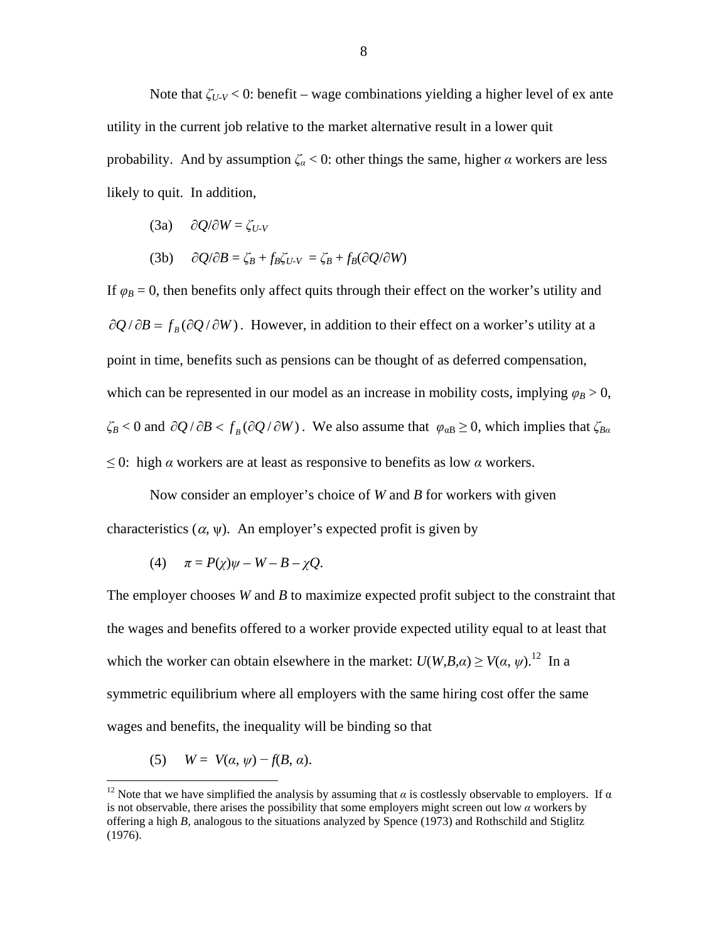Note that  $\zeta_{U-V}$  < 0: benefit – wage combinations yielding a higher level of ex ante utility in the current job relative to the market alternative result in a lower quit probability. And by assumption  $\zeta_a < 0$ : other things the same, higher  $\alpha$  workers are less likely to quit. In addition,

- (3a) ∂*Q*/∂*W* = *ζU-V*
- (3b)  $\partial Q/\partial B = \zeta_B + f_B \zeta_{U-V} = \zeta_B + f_B(\partial Q/\partial W)$

If  $\varphi_B = 0$ , then benefits only affect quits through their effect on the worker's utility and  $\partial Q / \partial B = f_B (\partial Q / \partial W)$ . However, in addition to their effect on a worker's utility at a point in time, benefits such as pensions can be thought of as deferred compensation, which can be represented in our model as an increase in mobility costs, implying  $\varphi_B > 0$ ,  $\zeta_B$  < 0 and  $\partial Q$  /  $\partial B$  <  $f_R$  ( $\partial Q$  /  $\partial W$ ). We also assume that  $\varphi_{\alpha B} \ge 0$ , which implies that  $\zeta_{B\alpha}$  $\leq$  0: high  $\alpha$  workers are at least as responsive to benefits as low  $\alpha$  workers.

Now consider an employer's choice of *W* and *B* for workers with given characteristics  $(\alpha, \psi)$ . An employer's expected profit is given by

(4) 
$$
\pi = P(\chi)\psi - W - B - \chi Q.
$$

The employer chooses *W* and *B* to maximize expected profit subject to the constraint that the wages and benefits offered to a worker provide expected utility equal to at least that which the worker can obtain elsewhere in the market:  $U(W, B, \alpha) \geq V(\alpha, \psi)$ .<sup>12</sup> In a symmetric equilibrium where all employers with the same hiring cost offer the same wages and benefits, the inequality will be binding so that

(5)  $W = V(\alpha, \psi) - f(B, \alpha).$ 

<sup>&</sup>lt;sup>12</sup> Note that we have simplified the analysis by assuming that  $\alpha$  is costlessly observable to employers. If  $\alpha$ is not observable, there arises the possibility that some employers might screen out low  $\alpha$  workers by offering a high *B,* analogous to the situations analyzed by Spence (1973) and Rothschild and Stiglitz (1976).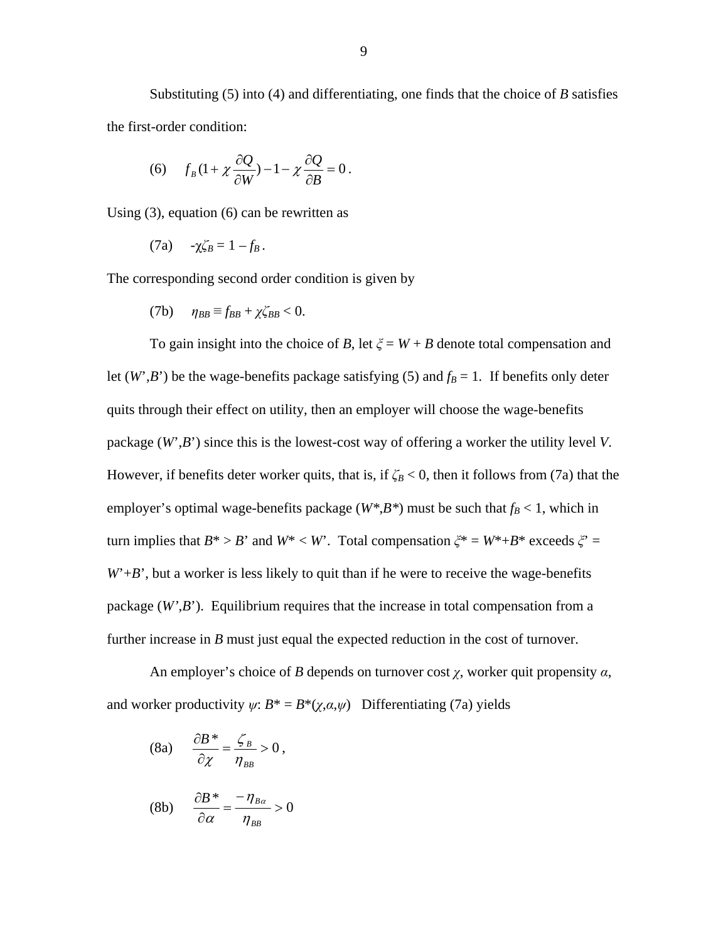Substituting (5) into (4) and differentiating, one finds that the choice of *B* satisfies the first-order condition:

(6) 
$$
f_B(1+\chi\frac{\partial Q}{\partial W})-1-\chi\frac{\partial Q}{\partial B}=0.
$$

Using (3), equation (6) can be rewritten as

$$
(7a) \quad -\chi\zeta_B=1-f_B.
$$

The corresponding second order condition is given by

(7b) 
$$
\eta_{BB} \equiv f_{BB} + \chi \zeta_{BB} < 0.
$$

To gain insight into the choice of *B*, let  $\xi = W + B$  denote total compensation and let  $(W', B')$  be the wage-benefits package satisfying (5) and  $f_B = 1$ . If benefits only deter quits through their effect on utility, then an employer will choose the wage-benefits package (*W*',*B*') since this is the lowest-cost way of offering a worker the utility level *V*. However, if benefits deter worker quits, that is, if  $\zeta_B < 0$ , then it follows from (7a) that the employer's optimal wage-benefits package ( $W^*, B^*$ ) must be such that  $f_B < 1$ , which in turn implies that  $B^* > B$ ' and  $W^* < W$ '. Total compensation  $\xi^* = W^* + B^*$  exceeds  $\xi^* =$  $W + B'$ , but a worker is less likely to quit than if he were to receive the wage-benefits package (*W'*,*B*'). Equilibrium requires that the increase in total compensation from a further increase in *B* must just equal the expected reduction in the cost of turnover.

An employer's choice of *B* depends on turnover cost *χ*, worker quit propensity *α*, and worker productivity  $\psi$ :  $B^* = B^*(\chi, a, \psi)$  Differentiating (7a) yields

(8a) 
$$
\frac{\partial B^*}{\partial \chi} = \frac{\zeta_B}{\eta_{BB}} > 0,
$$

(8b) 
$$
\frac{\partial B^*}{\partial \alpha} = \frac{-\eta_{B\alpha}}{\eta_{BB}} > 0
$$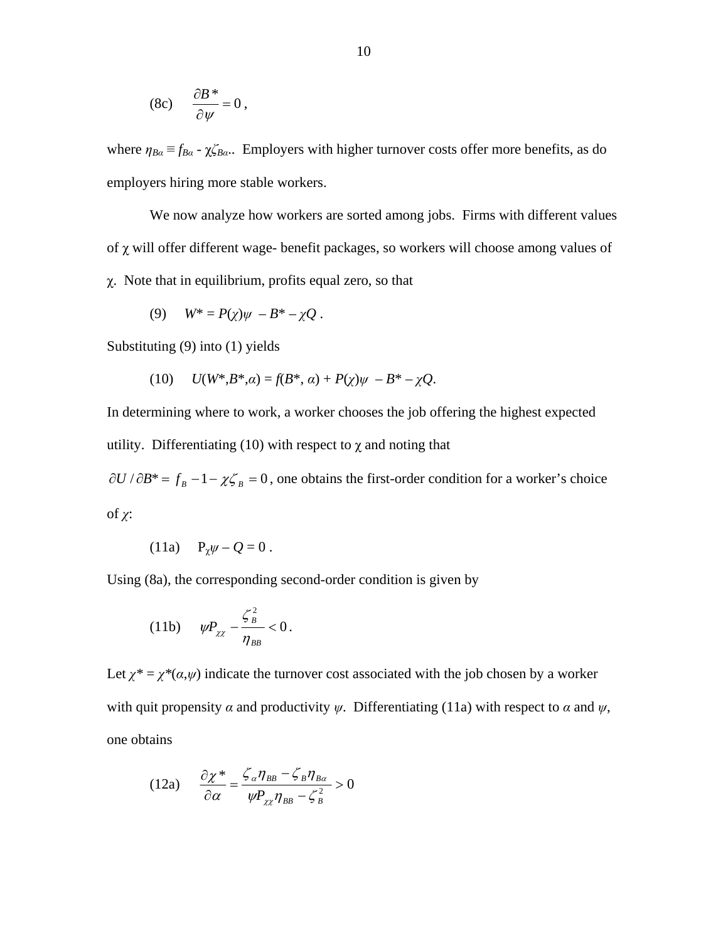$$
(8c) \qquad \frac{\partial B^*}{\partial \psi} = 0 \,,
$$

where  $\eta_{Ba} \equiv f_{Ba} \cdot \chi_{Ba}$ . Employers with higher turnover costs offer more benefits, as do employers hiring more stable workers.

We now analyze how workers are sorted among jobs. Firms with different values of χ will offer different wage- benefit packages, so workers will choose among values of χ. Note that in equilibrium, profits equal zero, so that

$$
(9) \qquad W^* = P(\chi)\psi - B^* - \chi Q \ .
$$

Substituting (9) into (1) yields

(10) 
$$
U(W^*, B^*, \alpha) = f(B^*, \alpha) + P(\chi)\psi - B^* - \chi Q.
$$

In determining where to work, a worker chooses the job offering the highest expected utility. Differentiating (10) with respect to  $\gamma$  and noting that

 $\partial U / \partial B^* = f_B - 1 - \chi \zeta_B = 0$ , one obtains the first-order condition for a worker's choice of *χ*:

$$
(11a) \tP_{\chi}\psi - Q = 0.
$$

Using (8a), the corresponding second-order condition is given by

(11b) 
$$
\psi P_{\chi\chi} - \frac{\zeta_B^2}{\eta_{BB}} < 0.
$$

Let  $\chi^* = \chi^*(\alpha, \psi)$  indicate the turnover cost associated with the job chosen by a worker with quit propensity  $\alpha$  and productivity  $\psi$ . Differentiating (11a) with respect to  $\alpha$  and  $\psi$ , one obtains

(12a) 
$$
\frac{\partial \chi^*}{\partial \alpha} = \frac{\zeta_\alpha \eta_{BB} - \zeta_B \eta_{Ba}}{\psi P_{\chi \chi} \eta_{BB} - \zeta_B^2} > 0
$$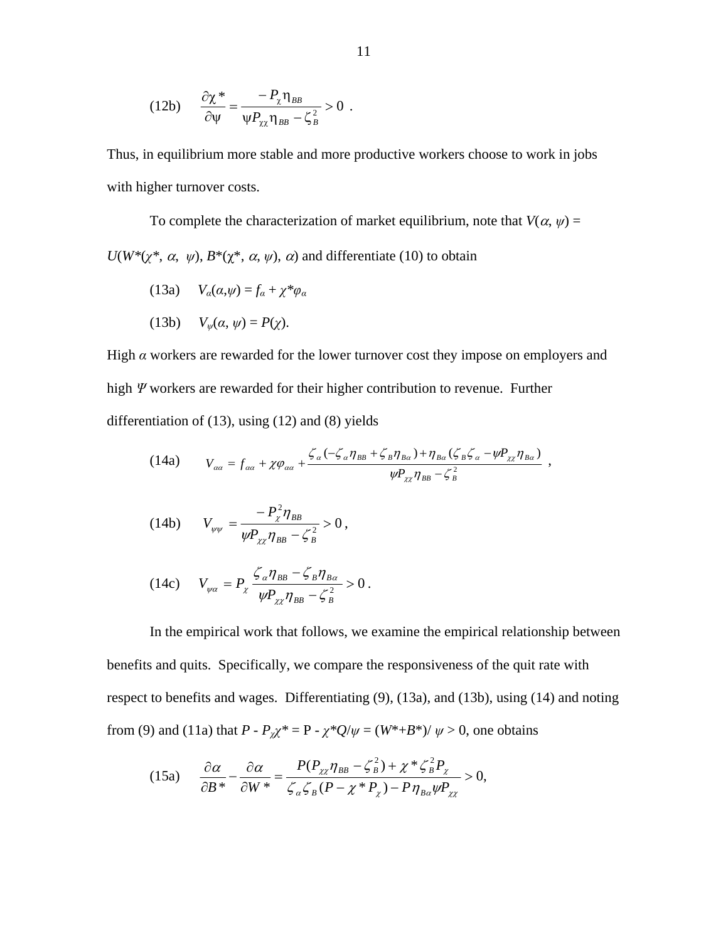$$
(12b) \qquad \frac{\partial \chi^*}{\partial \psi} = \frac{-P_\chi \eta_{BB}}{\psi P_{\chi\chi} \eta_{BB} - \zeta_B^2} > 0 \; .
$$

Thus, in equilibrium more stable and more productive workers choose to work in jobs with higher turnover costs.

To complete the characterization of market equilibrium, note that  $V(\alpha, \psi)$  =  $U(W^*(\chi^*, \alpha, \psi), B^*(\chi^*, \alpha, \psi), \alpha)$  and differentiate (10) to obtain

$$
(13a) \tV_{\alpha}(\alpha,\psi) = f_{\alpha} + \chi^* \varphi_{\alpha}
$$

$$
(13b) V_{\psi}(\alpha, \psi) = P(\chi).
$$

High *α* workers are rewarded for the lower turnover cost they impose on employers and high *Ψ* workers are rewarded for their higher contribution to revenue. Further differentiation of (13), using (12) and (8) yields

(14a) 
$$
V_{\alpha\alpha} = f_{\alpha\alpha} + \chi \varphi_{\alpha\alpha} + \frac{\zeta_{\alpha}(-\zeta_{\alpha}\eta_{BB} + \zeta_{B}\eta_{B\alpha}) + \eta_{B\alpha}(\zeta_{B}\zeta_{\alpha} - \psi P_{\chi\alpha}\eta_{B\alpha})}{\psi P_{\chi\alpha}\eta_{BB} - \zeta_{B}^{2}},
$$

(14b) 
$$
V_{\psi\psi} = \frac{-P_{\chi}^2 \eta_{BB}}{\psi P_{\chi\chi} \eta_{BB} - \zeta_B^2} > 0,
$$

$$
(14c) \tV_{\psi\alpha} = P_{\chi} \frac{\zeta_{\alpha} \eta_{BB} - \zeta_{B} \eta_{B\alpha}}{\psi P_{\chi\chi} \eta_{BB} - \zeta_{B}^{2}} > 0.
$$

In the empirical work that follows, we examine the empirical relationship between benefits and quits. Specifically, we compare the responsiveness of the quit rate with respect to benefits and wages. Differentiating (9), (13a), and (13b), using (14) and noting from (9) and (11a) that  $P - P_{\chi} \chi^* = P - \chi^* Q/\psi = (W^* + B^*)/\psi > 0$ , one obtains

$$
(15a) \qquad \frac{\partial \alpha}{\partial B^*} - \frac{\partial \alpha}{\partial W^*} = \frac{P(P_{\chi\chi}\eta_{BB} - \zeta_B^2) + \chi^* \zeta_B^2 P_{\chi}}{\zeta_{\alpha}\zeta_B (P - \chi^* P_{\chi}) - P \eta_{\beta\alpha} \psi P_{\chi\chi}} > 0,
$$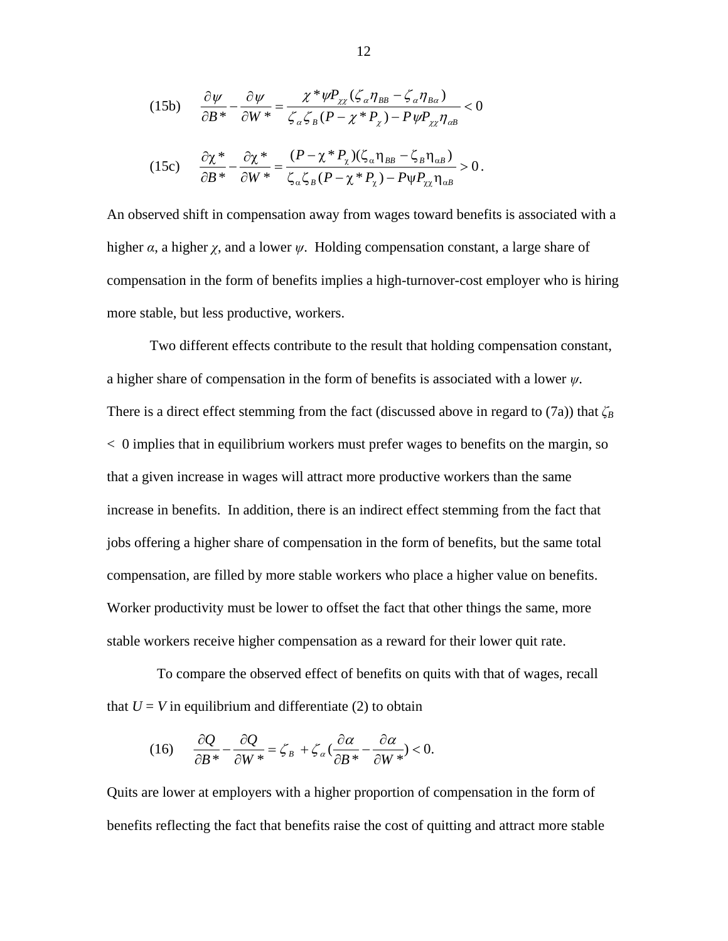(15b) 
$$
\frac{\partial \psi}{\partial B^*} - \frac{\partial \psi}{\partial W^*} = \frac{\chi^* \psi P_{\chi \chi} (\zeta_a \eta_{BB} - \zeta_a \eta_{Ba})}{\zeta_a \zeta_B (P - \chi^* P_{\chi}) - P \psi P_{\chi \chi} \eta_{AB}} < 0
$$
  
(15c) 
$$
\frac{\partial \chi^*}{\partial B^*} - \frac{\partial \chi^*}{\partial W^*} = \frac{(P - \chi^* P_{\chi})(\zeta_a \eta_{BB} - \zeta_B \eta_{AB})}{\zeta_a \zeta_B (P - \chi^* P_{\chi}) - P \psi P_{\chi \chi} \eta_{AB}} > 0.
$$

An observed shift in compensation away from wages toward benefits is associated with a higher *α*, a higher *χ*, and a lower *ψ*. Holding compensation constant, a large share of compensation in the form of benefits implies a high-turnover-cost employer who is hiring more stable, but less productive, workers.

Two different effects contribute to the result that holding compensation constant, a higher share of compensation in the form of benefits is associated with a lower *ψ*. There is a direct effect stemming from the fact (discussed above in regard to (7a)) that *ζ<sup>B</sup>* < 0 implies that in equilibrium workers must prefer wages to benefits on the margin, so that a given increase in wages will attract more productive workers than the same increase in benefits. In addition, there is an indirect effect stemming from the fact that jobs offering a higher share of compensation in the form of benefits, but the same total compensation, are filled by more stable workers who place a higher value on benefits. Worker productivity must be lower to offset the fact that other things the same, more stable workers receive higher compensation as a reward for their lower quit rate.

 To compare the observed effect of benefits on quits with that of wages, recall that  $U = V$  in equilibrium and differentiate (2) to obtain

$$
(16) \qquad \frac{\partial Q}{\partial B^*} - \frac{\partial Q}{\partial W^*} = \zeta_B + \zeta_\alpha (\frac{\partial \alpha}{\partial B^*} - \frac{\partial \alpha}{\partial W^*}) < 0.
$$

Quits are lower at employers with a higher proportion of compensation in the form of benefits reflecting the fact that benefits raise the cost of quitting and attract more stable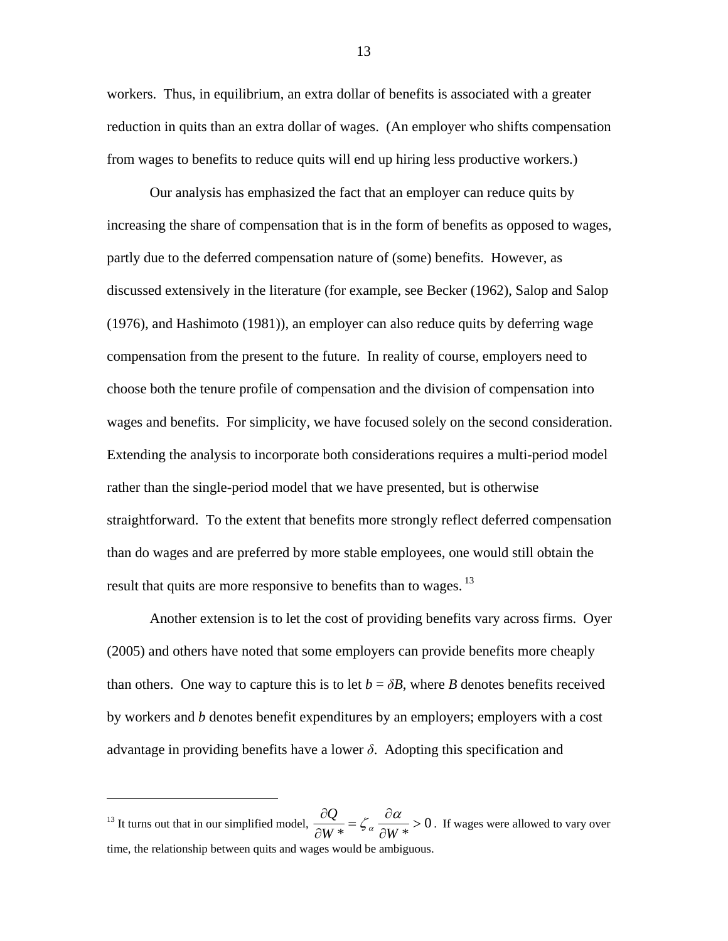workers. Thus, in equilibrium, an extra dollar of benefits is associated with a greater reduction in quits than an extra dollar of wages. (An employer who shifts compensation from wages to benefits to reduce quits will end up hiring less productive workers.)

Our analysis has emphasized the fact that an employer can reduce quits by increasing the share of compensation that is in the form of benefits as opposed to wages, partly due to the deferred compensation nature of (some) benefits. However, as discussed extensively in the literature (for example, see Becker (1962), Salop and Salop (1976), and Hashimoto (1981)), an employer can also reduce quits by deferring wage compensation from the present to the future. In reality of course, employers need to choose both the tenure profile of compensation and the division of compensation into wages and benefits. For simplicity, we have focused solely on the second consideration. Extending the analysis to incorporate both considerations requires a multi-period model rather than the single-period model that we have presented, but is otherwise straightforward. To the extent that benefits more strongly reflect deferred compensation than do wages and are preferred by more stable employees, one would still obtain the result that quits are more responsive to benefits than to wages.<sup>13</sup>

Another extension is to let the cost of providing benefits vary across firms. Oyer (2005) and others have noted that some employers can provide benefits more cheaply than others. One way to capture this is to let  $b = \delta B$ , where *B* denotes benefits received by workers and *b* denotes benefit expenditures by an employers; employers with a cost advantage in providing benefits have a lower  $\delta$ . Adopting this specification and

1

<sup>&</sup>lt;sup>13</sup> It turns out that in our simplified model,  $\frac{\partial Q}{\partial x} = \zeta_a \frac{\partial Q}{\partial x} > 0$ \*  $\overline{O}W^*$ >  $\frac{\partial Q}{\partial W}$  =  $\zeta_a \frac{\partial}{\partial W}$  $W^* \stackrel{\supset a}{\longrightarrow} \partial W$  $\frac{Q}{\mu} = \zeta_a \frac{\partial \alpha}{\partial \mu} > 0$ . If wages were allowed to vary over time, the relationship between quits and wages would be ambiguous.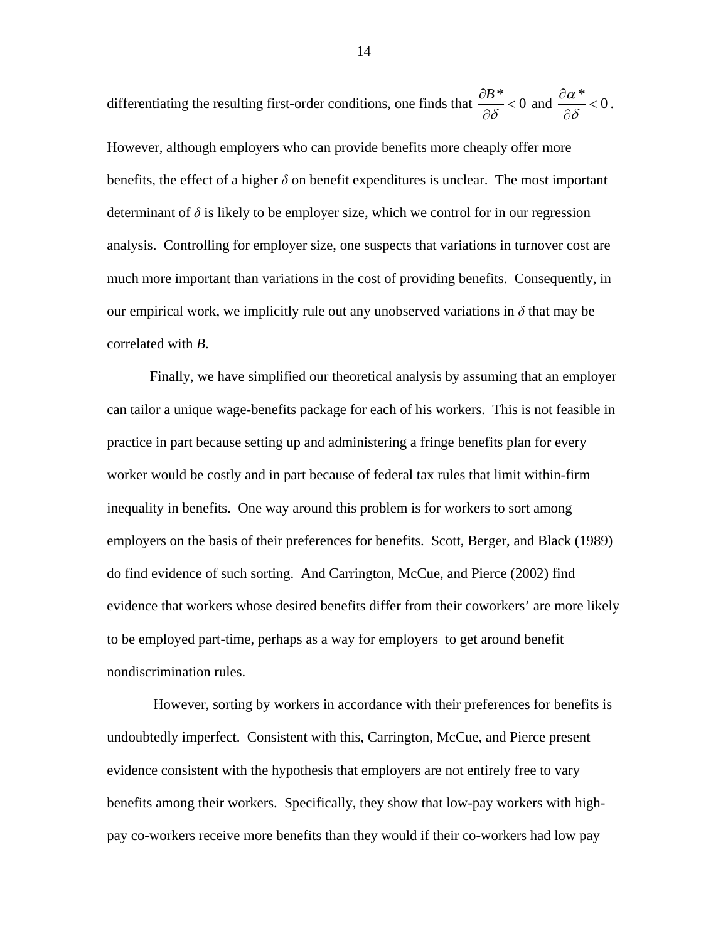differentiating the resulting first-order conditions, one finds that  $\frac{\partial B^*}{\partial \theta} < 0$ ∂ ∂  $\frac{B^*}{\partial \delta}$  < 0 and  $\frac{\partial \alpha^*}{\partial \delta}$  < 0 ∂ ∂  $\frac{\alpha}{\beta \delta} < 0$ .

However, although employers who can provide benefits more cheaply offer more benefits, the effect of a higher  $\delta$  on benefit expenditures is unclear. The most important determinant of  $\delta$  is likely to be employer size, which we control for in our regression analysis. Controlling for employer size, one suspects that variations in turnover cost are much more important than variations in the cost of providing benefits. Consequently, in our empirical work, we implicitly rule out any unobserved variations in  $\delta$  that may be correlated with *B*.

Finally, we have simplified our theoretical analysis by assuming that an employer can tailor a unique wage-benefits package for each of his workers. This is not feasible in practice in part because setting up and administering a fringe benefits plan for every worker would be costly and in part because of federal tax rules that limit within-firm inequality in benefits. One way around this problem is for workers to sort among employers on the basis of their preferences for benefits. Scott, Berger, and Black (1989) do find evidence of such sorting. And Carrington, McCue, and Pierce (2002) find evidence that workers whose desired benefits differ from their coworkers' are more likely to be employed part-time, perhaps as a way for employers to get around benefit nondiscrimination rules.

 However, sorting by workers in accordance with their preferences for benefits is undoubtedly imperfect. Consistent with this, Carrington, McCue, and Pierce present evidence consistent with the hypothesis that employers are not entirely free to vary benefits among their workers. Specifically, they show that low-pay workers with highpay co-workers receive more benefits than they would if their co-workers had low pay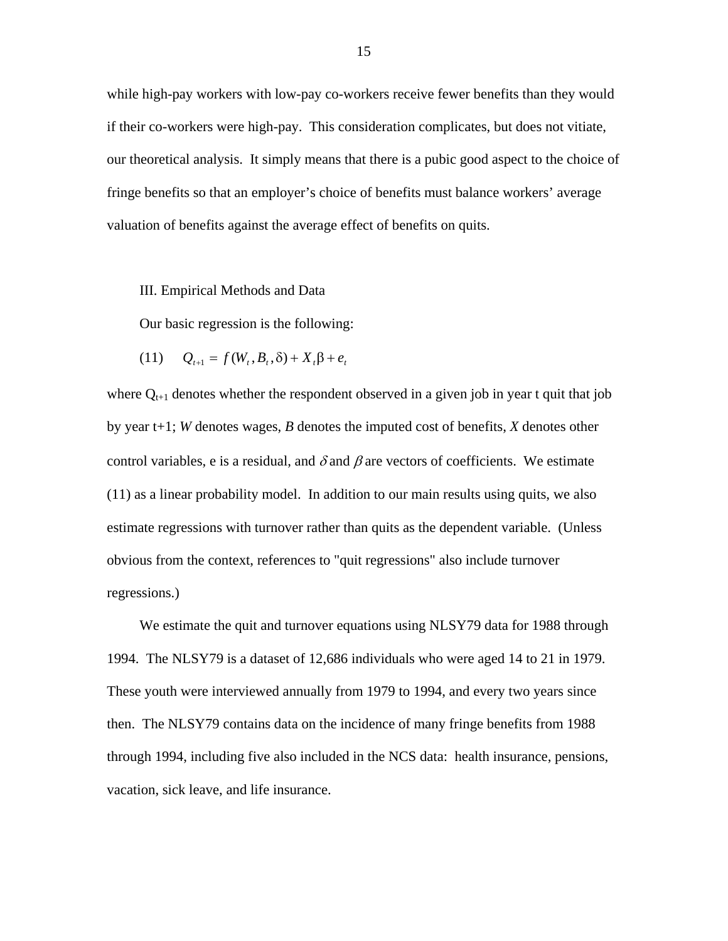while high-pay workers with low-pay co-workers receive fewer benefits than they would if their co-workers were high-pay. This consideration complicates, but does not vitiate, our theoretical analysis. It simply means that there is a pubic good aspect to the choice of fringe benefits so that an employer's choice of benefits must balance workers' average valuation of benefits against the average effect of benefits on quits.

III. Empirical Methods and Data

Our basic regression is the following:

(11)  $Q_{t+1} = f(W_t, B_t, \delta) + X_t \beta + e_t$ 

where  $Q_{t+1}$  denotes whether the respondent observed in a given job in year t quit that job by year t+1; *W* denotes wages, *B* denotes the imputed cost of benefits, *X* denotes other control variables, e is a residual, and  $\delta$  and  $\beta$  are vectors of coefficients. We estimate (11) as a linear probability model. In addition to our main results using quits, we also estimate regressions with turnover rather than quits as the dependent variable. (Unless obvious from the context, references to "quit regressions" also include turnover regressions.)

We estimate the quit and turnover equations using NLSY79 data for 1988 through 1994. The NLSY79 is a dataset of 12,686 individuals who were aged 14 to 21 in 1979. These youth were interviewed annually from 1979 to 1994, and every two years since then. The NLSY79 contains data on the incidence of many fringe benefits from 1988 through 1994, including five also included in the NCS data: health insurance, pensions, vacation, sick leave, and life insurance.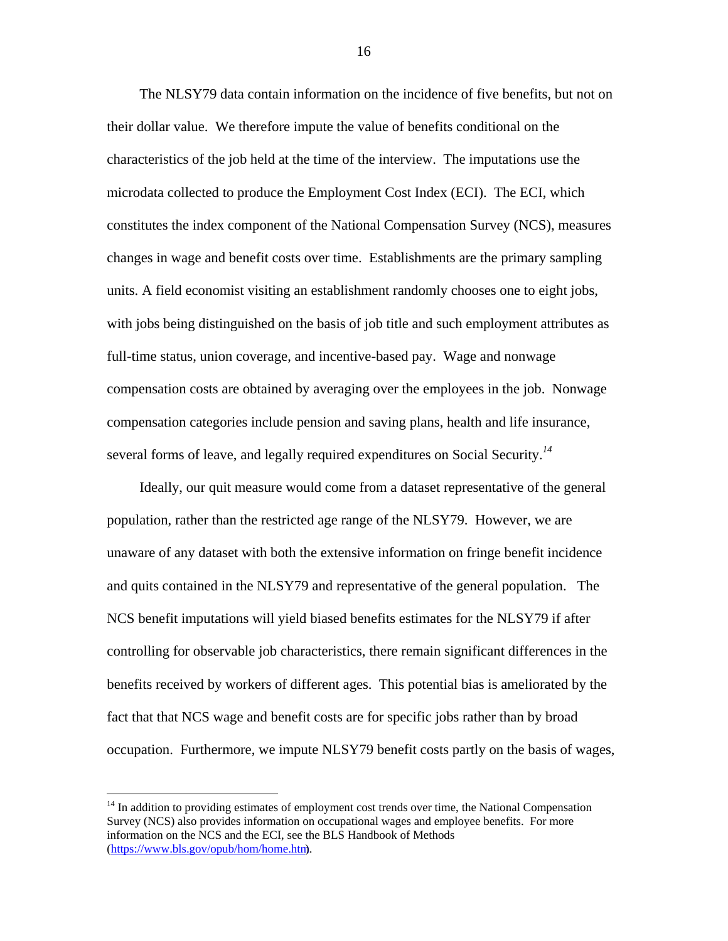The NLSY79 data contain information on the incidence of five benefits, but not on their dollar value. We therefore impute the value of benefits conditional on the characteristics of the job held at the time of the interview. The imputations use the microdata collected to produce the Employment Cost Index (ECI). The ECI, which constitutes the index component of the National Compensation Survey (NCS), measures changes in wage and benefit costs over time. Establishments are the primary sampling units. A field economist visiting an establishment randomly chooses one to eight jobs, with jobs being distinguished on the basis of job title and such employment attributes as full-time status, union coverage, and incentive-based pay. Wage and nonwage compensation costs are obtained by averaging over the employees in the job. Nonwage compensation categories include pension and saving plans, health and life insurance, several forms of leave, and legally required expenditures on Social Security.*<sup>14</sup>*

Ideally, our quit measure would come from a dataset representative of the general population, rather than the restricted age range of the NLSY79. However, we are unaware of any dataset with both the extensive information on fringe benefit incidence and quits contained in the NLSY79 and representative of the general population. The NCS benefit imputations will yield biased benefits estimates for the NLSY79 if after controlling for observable job characteristics, there remain significant differences in the benefits received by workers of different ages. This potential bias is ameliorated by the fact that that NCS wage and benefit costs are for specific jobs rather than by broad occupation. Furthermore, we impute NLSY79 benefit costs partly on the basis of wages,

<u>.</u>

<sup>&</sup>lt;sup>14</sup> In addition to providing estimates of employment cost trends over time, the National Compensation Survey (NCS) also provides information on occupational wages and employee benefits. For more information on the NCS and the ECI, see the BLS Handbook of Methods (https://www.bls.gov/opub/hom/home.htm).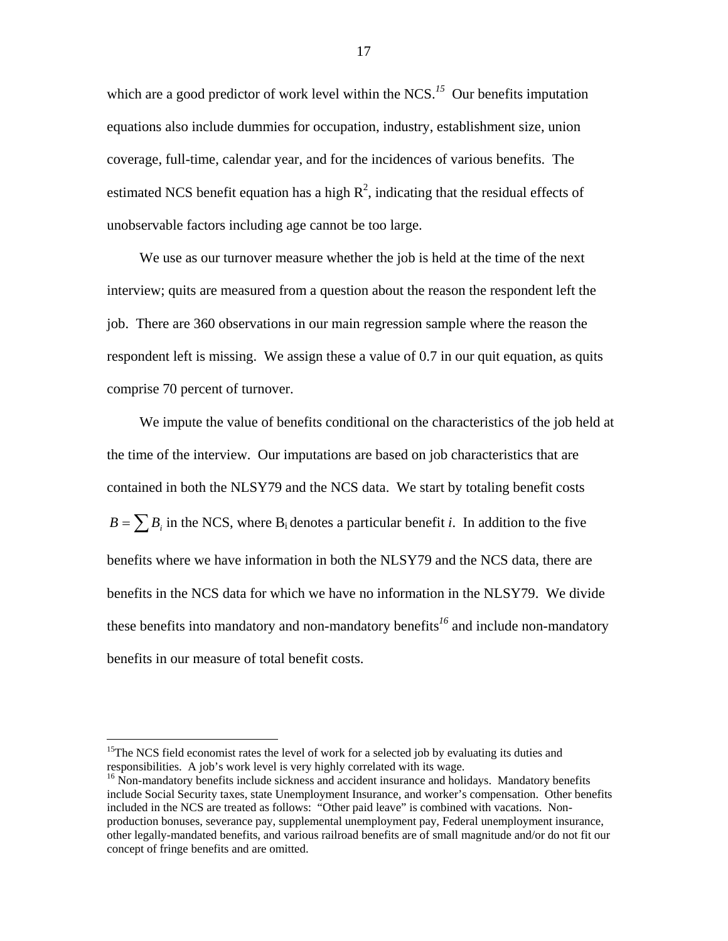which are a good predictor of work level within the NCS.<sup>15</sup> Our benefits imputation equations also include dummies for occupation, industry, establishment size, union coverage, full-time, calendar year, and for the incidences of various benefits. The estimated NCS benefit equation has a high  $R^2$ , indicating that the residual effects of unobservable factors including age cannot be too large.

We use as our turnover measure whether the job is held at the time of the next interview; quits are measured from a question about the reason the respondent left the job. There are 360 observations in our main regression sample where the reason the respondent left is missing. We assign these a value of 0.7 in our quit equation, as quits comprise 70 percent of turnover.

We impute the value of benefits conditional on the characteristics of the job held at the time of the interview. Our imputations are based on job characteristics that are contained in both the NLSY79 and the NCS data. We start by totaling benefit costs  $B = \sum B_i$  in the NCS, where B<sub>i</sub> denotes a particular benefit *i*. In addition to the five benefits where we have information in both the NLSY79 and the NCS data, there are benefits in the NCS data for which we have no information in the NLSY79. We divide these benefits into mandatory and non-mandatory benefits*<sup>16</sup>* and include non-mandatory benefits in our measure of total benefit costs.

<sup>&</sup>lt;sup>15</sup>The NCS field economist rates the level of work for a selected job by evaluating its duties and responsibilities. A job's work level is very highly correlated with its wage.

<sup>&</sup>lt;sup>16</sup> Non-mandatory benefits include sickness and accident insurance and holidays. Mandatory benefits include Social Security taxes, state Unemployment Insurance, and worker's compensation. Other benefits included in the NCS are treated as follows: "Other paid leave" is combined with vacations. Nonproduction bonuses, severance pay, supplemental unemployment pay, Federal unemployment insurance, other legally-mandated benefits, and various railroad benefits are of small magnitude and/or do not fit our concept of fringe benefits and are omitted.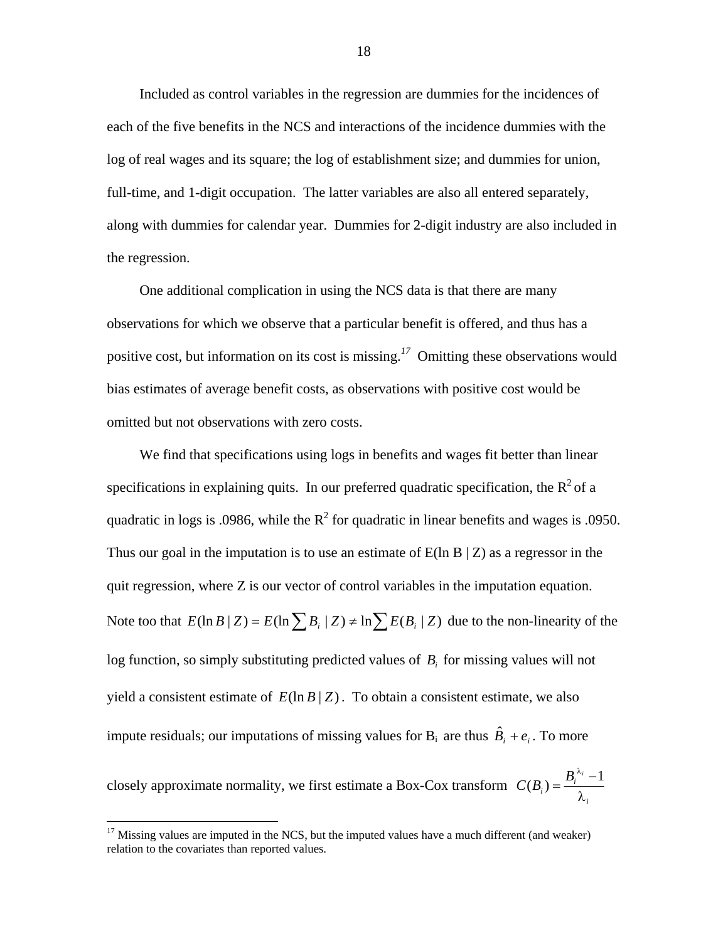Included as control variables in the regression are dummies for the incidences of each of the five benefits in the NCS and interactions of the incidence dummies with the log of real wages and its square; the log of establishment size; and dummies for union, full-time, and 1-digit occupation. The latter variables are also all entered separately, along with dummies for calendar year. Dummies for 2-digit industry are also included in the regression.

One additional complication in using the NCS data is that there are many observations for which we observe that a particular benefit is offered, and thus has a positive cost, but information on its cost is missing.*<sup>17</sup>* Omitting these observations would bias estimates of average benefit costs, as observations with positive cost would be omitted but not observations with zero costs.

We find that specifications using logs in benefits and wages fit better than linear specifications in explaining quits. In our preferred quadratic specification, the  $R^2$  of a quadratic in logs is .0986, while the  $R^2$  for quadratic in linear benefits and wages is .0950. Thus our goal in the imputation is to use an estimate of  $E(\ln B | Z)$  as a regressor in the quit regression, where Z is our vector of control variables in the imputation equation. Note too that  $E(\ln B | Z) = E(\ln \sum B_i | Z) \neq \ln \sum E(B_i | Z)$  due to the non-linearity of the log function, so simply substituting predicted values of *B<sub>i</sub>* for missing values will not yield a consistent estimate of  $E(\ln B | Z)$ . To obtain a consistent estimate, we also impute residuals; our imputations of missing values for B<sub>i</sub> are thus  $\hat{B}_i + e_i$ . To more closely approximate normality, we first estimate a Box-Cox transform  $C(B_i) = \frac{B_i^{\lambda_i}}{2}$ λ  $(B_i) = \frac{B_i^{\lambda_i} - 1}{2}$ 

1

*i*

 $17$  Missing values are imputed in the NCS, but the imputed values have a much different (and weaker) relation to the covariates than reported values.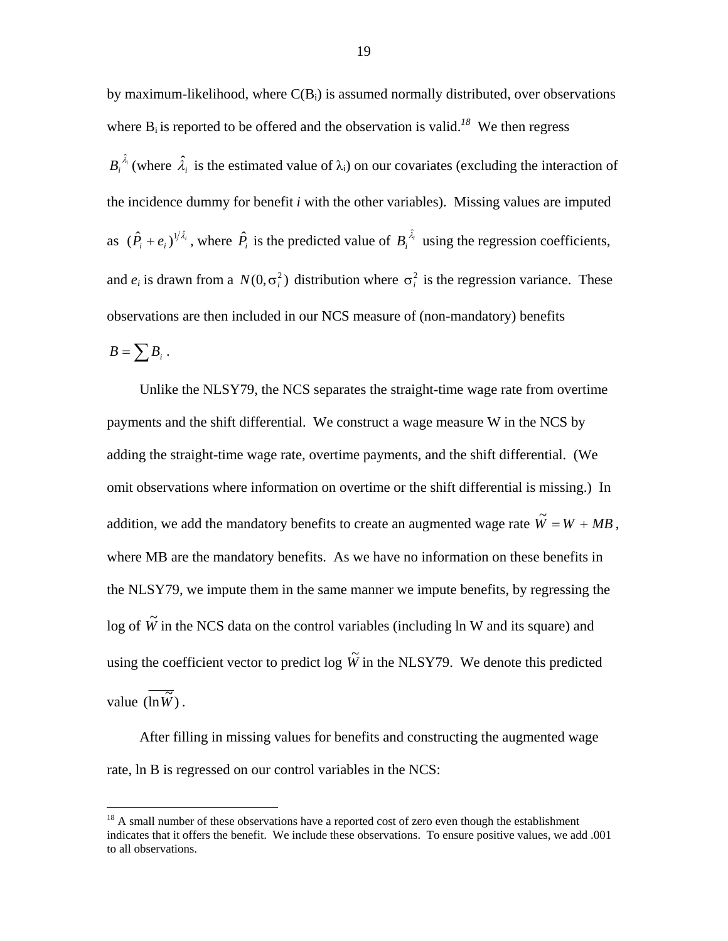by maximum-likelihood, where  $C(B_i)$  is assumed normally distributed, over observations where  $B_i$  is reported to be offered and the observation is valid.<sup>18</sup> We then regress  $B_i^{\hat{\lambda}_i}$  (where  $\hat{\lambda}_i$  is the estimated value of  $\lambda_i$ ) on our covariates (excluding the interaction of the incidence dummy for benefit *i* with the other variables). Missing values are imputed as  $(\hat{P}_i + e_i)^{1/\hat{\lambda}_i}$ , where  $\hat{P}_i$  is the predicted value of  $B_i^{\hat{\lambda}_i}$  using the regression coefficients, and  $e_i$  is drawn from a  $N(0, \sigma_i^2)$  distribution where  $\sigma_i^2$  is the regression variance. These observations are then included in our NCS measure of (non-mandatory) benefits

 $B = \sum_i B_i$ .

1

Unlike the NLSY79, the NCS separates the straight-time wage rate from overtime payments and the shift differential. We construct a wage measure W in the NCS by adding the straight-time wage rate, overtime payments, and the shift differential. (We omit observations where information on overtime or the shift differential is missing.) In addition, we add the mandatory benefits to create an augmented wage rate  $\tilde{W} = W + MB$ . where MB are the mandatory benefits. As we have no information on these benefits in the NLSY79, we impute them in the same manner we impute benefits, by regressing the log of  $\tilde{W}$  in the NCS data on the control variables (including ln W and its square) and using the coefficient vector to predict log  $\widetilde{W}$  in the NLSY79. We denote this predicted value  $(\ln \tilde{W})$ .

After filling in missing values for benefits and constructing the augmented wage rate, ln B is regressed on our control variables in the NCS:

 $18$  A small number of these observations have a reported cost of zero even though the establishment indicates that it offers the benefit. We include these observations. To ensure positive values, we add .001 to all observations.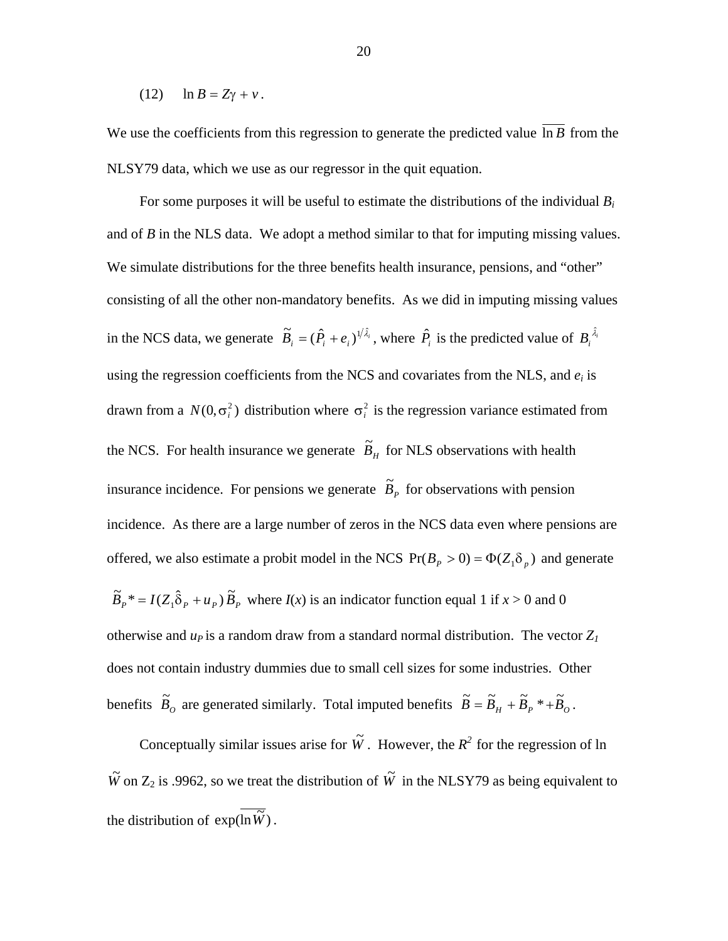$$
(12) \quad \ln B = Z\gamma + v.
$$

We use the coefficients from this regression to generate the predicted value  $\ln B$  from the NLSY79 data, which we use as our regressor in the quit equation.

For some purposes it will be useful to estimate the distributions of the individual *Bi*  and of *B* in the NLS data. We adopt a method similar to that for imputing missing values. We simulate distributions for the three benefits health insurance, pensions, and "other" consisting of all the other non-mandatory benefits. As we did in imputing missing values in the NCS data, we generate  $\tilde{B}_i = (\hat{P}_i + e_i)^{1/\hat{\lambda}_i}$ , where  $\hat{P}_i$  is the predicted value of  $B_i^{\hat{\lambda}_i}$ using the regression coefficients from the NCS and covariates from the NLS, and  $e_i$  is drawn from a  $N(0, \sigma_i^2)$  distribution where  $\sigma_i^2$  is the regression variance estimated from the NCS. For health insurance we generate  $\tilde{B}_H$  for NLS observations with health insurance incidence. For pensions we generate  $\tilde{B}_p$  for observations with pension incidence. As there are a large number of zeros in the NCS data even where pensions are offered, we also estimate a probit model in the NCS  $Pr(B_P > 0) = \Phi(Z_1 \delta_p)$  and generate  $\widetilde{B}_P^* = I(Z_1 \widehat{\delta}_P + u_P) \widetilde{B}_P$  where  $I(x)$  is an indicator function equal 1 if  $x > 0$  and 0 otherwise and  $u_p$  is a random draw from a standard normal distribution. The vector  $Z_l$ does not contain industry dummies due to small cell sizes for some industries. Other

benefits  $\tilde{B}_o$  are generated similarly. Total imputed benefits  $\tilde{B} = \tilde{B}_H + \tilde{B}_P * + \tilde{B}_O$ .

Conceptually similar issues arise for  $\tilde{W}$ . However, the  $R^2$  for the regression of ln  $\tilde{W}$  on  $Z_2$  is .9962, so we treat the distribution of  $\tilde{W}$  in the NLSY79 as being equivalent to the distribution of  $\exp(\ln \widetilde{W})$ .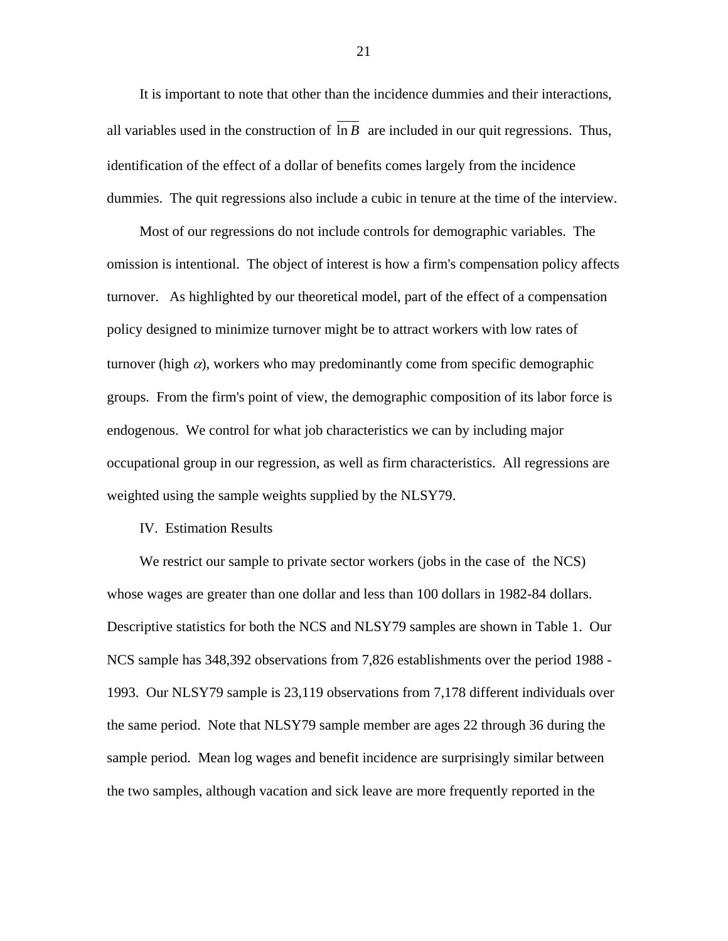It is important to note that other than the incidence dummies and their interactions, all variables used in the construction of  $\ln B$  are included in our quit regressions. Thus, identification of the effect of a dollar of benefits comes largely from the incidence dummies. The quit regressions also include a cubic in tenure at the time of the interview.

Most of our regressions do not include controls for demographic variables. The omission is intentional. The object of interest is how a firm's compensation policy affects turnover. As highlighted by our theoretical model, part of the effect of a compensation policy designed to minimize turnover might be to attract workers with low rates of turnover (high  $\alpha$ ), workers who may predominantly come from specific demographic groups. From the firm's point of view, the demographic composition of its labor force is endogenous. We control for what job characteristics we can by including major occupational group in our regression, as well as firm characteristics. All regressions are weighted using the sample weights supplied by the NLSY79.

#### IV. Estimation Results

We restrict our sample to private sector workers (jobs in the case of the NCS) whose wages are greater than one dollar and less than 100 dollars in 1982-84 dollars. Descriptive statistics for both the NCS and NLSY79 samples are shown in Table 1. Our NCS sample has 348,392 observations from 7,826 establishments over the period 1988 - 1993. Our NLSY79 sample is 23,119 observations from 7,178 different individuals over the same period. Note that NLSY79 sample member are ages 22 through 36 during the sample period. Mean log wages and benefit incidence are surprisingly similar between the two samples, although vacation and sick leave are more frequently reported in the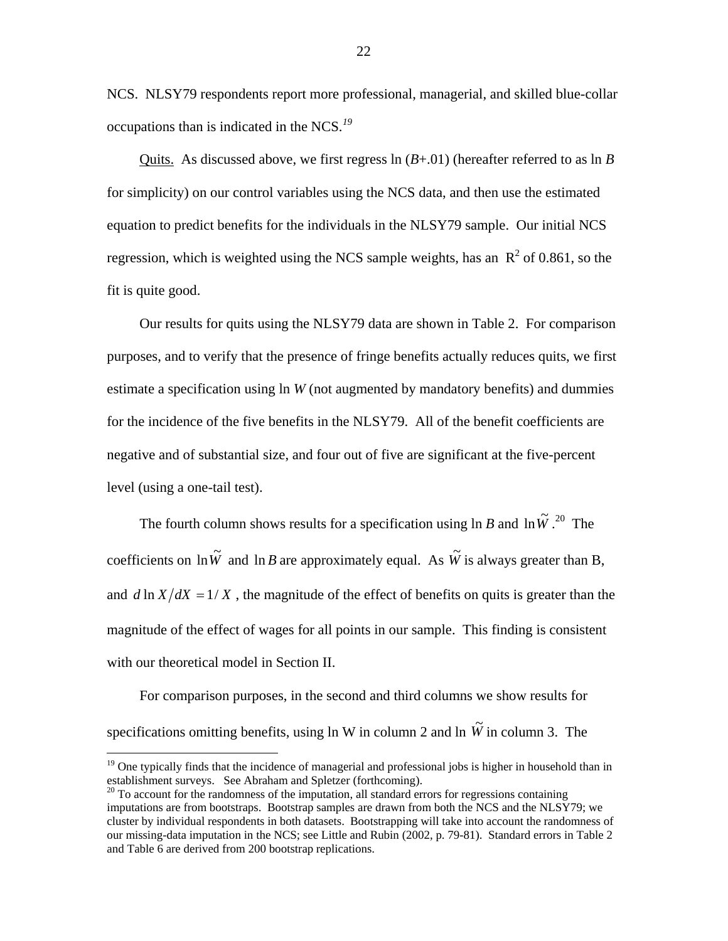NCS. NLSY79 respondents report more professional, managerial, and skilled blue-collar occupations than is indicated in the NCS.*<sup>19</sup>*

Quits. As discussed above, we first regress  $\ln (B + 0.01)$  (hereafter referred to as  $\ln B$ for simplicity) on our control variables using the NCS data, and then use the estimated equation to predict benefits for the individuals in the NLSY79 sample. Our initial NCS regression, which is weighted using the NCS sample weights, has an  $R^2$  of 0.861, so the fit is quite good.

Our results for quits using the NLSY79 data are shown in Table 2. For comparison purposes, and to verify that the presence of fringe benefits actually reduces quits, we first estimate a specification using ln *W* (not augmented by mandatory benefits) and dummies for the incidence of the five benefits in the NLSY79. All of the benefit coefficients are negative and of substantial size, and four out of five are significant at the five-percent level (using a one-tail test).

The fourth column shows results for a specification using ln *B* and  $\ln \tilde{W}$ <sup>20</sup> The coefficients on  $\ln \tilde{W}$  and  $\ln B$  are approximately equal. As  $\tilde{W}$  is always greater than B, and  $d \ln X/dX = 1/X$ , the magnitude of the effect of benefits on quits is greater than the magnitude of the effect of wages for all points in our sample. This finding is consistent with our theoretical model in Section II.

For comparison purposes, in the second and third columns we show results for specifications omitting benefits, using ln W in column 2 and ln  $\tilde{W}$  in column 3. The

<sup>&</sup>lt;sup>19</sup> One typically finds that the incidence of managerial and professional jobs is higher in household than in establishment surveys. See Abraham and Spletzer (forthcoming).

 $20$  To account for the randomness of the imputation, all standard errors for regressions containing imputations are from bootstraps. Bootstrap samples are drawn from both the NCS and the NLSY79; we cluster by individual respondents in both datasets. Bootstrapping will take into account the randomness of our missing-data imputation in the NCS; see Little and Rubin (2002, p. 79-81). Standard errors in Table 2 and Table 6 are derived from 200 bootstrap replications.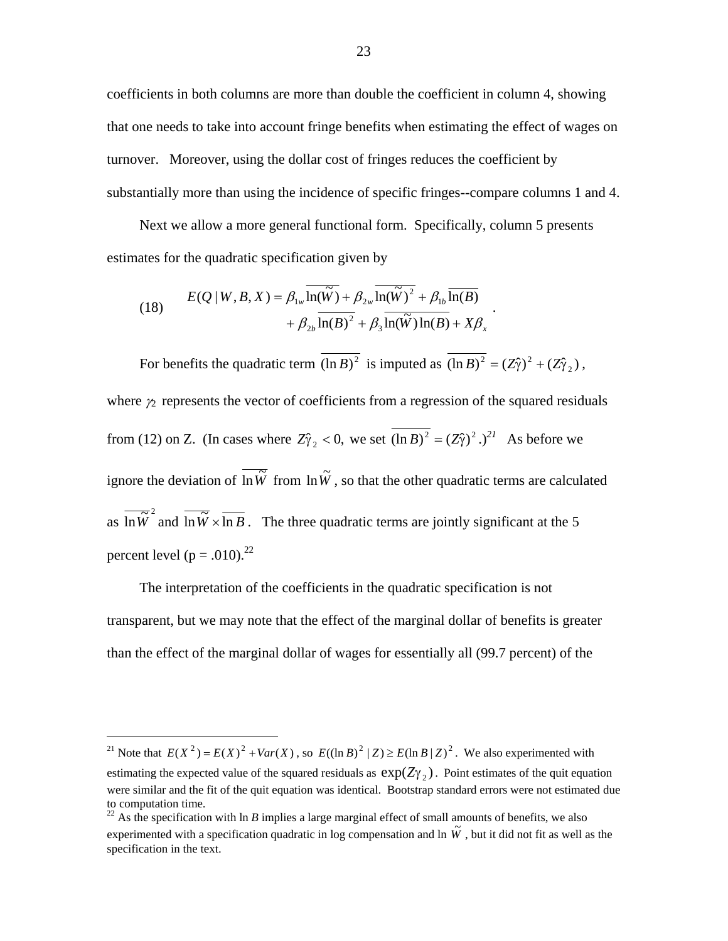coefficients in both columns are more than double the coefficient in column 4, showing that one needs to take into account fringe benefits when estimating the effect of wages on turnover. Moreover, using the dollar cost of fringes reduces the coefficient by substantially more than using the incidence of specific fringes--compare columns 1 and 4.

Next we allow a more general functional form. Specifically, column 5 presents estimates for the quadratic specification given by

(18) 
$$
E(Q|W, B, X) = \beta_{1w} \overline{\ln(\tilde{W})} + \beta_{2w} \overline{\ln(\tilde{W})^2} + \beta_{1b} \overline{\ln(B)} + \beta_{2b} \overline{\ln(B)^2} + \beta_3 \overline{\ln(\tilde{W}) \ln(B)} + X\beta_x
$$

For benefits the quadratic term  $(\ln B)^2$  is imputed as  $(\ln B)^2 = (Z\hat{\gamma})^2 + (Z\hat{\gamma}_2)$ , where  $\gamma_2$  represents the vector of coefficients from a regression of the squared residuals from (12) on Z. (In cases where  $Z_{\gamma}^{\gamma}$  < 0, we set  $\overline{(\ln B)^2} = (Z_{\gamma}^{\gamma})^2$ .)<sup>21</sup> As before we ignore the deviation of  $\overline{Im\ \widetilde{W}}$  from  $\ln \widetilde{W}$ , so that the other quadratic terms are calculated as  $\overline{ln \tilde{W}}^2$  and  $\overline{ln \tilde{W}} \times \overline{ln B}$ . The three quadratic terms are jointly significant at the 5 percent level  $(p=.010)^{22}$ 

The interpretation of the coefficients in the quadratic specification is not transparent, but we may note that the effect of the marginal dollar of benefits is greater than the effect of the marginal dollar of wages for essentially all (99.7 percent) of the

<sup>&</sup>lt;sup>21</sup> Note that  $E(X^2) = E(X)^2 + Var(X)$ , so  $E((\ln B)^2 | Z) \ge E(\ln B | Z)^2$ . We also experimented with estimating the expected value of the squared residuals as  $exp(Z_{\gamma_2})$ . Point estimates of the quit equation were similar and the fit of the quit equation was identical. Bootstrap standard errors were not estimated due to computation time.

 $22$  As the specification with ln *B* implies a large marginal effect of small amounts of benefits, we also experimented with a specification quadratic in log compensation and ln  $\tilde{W}$ , but it did not fit as well as the specification in the text.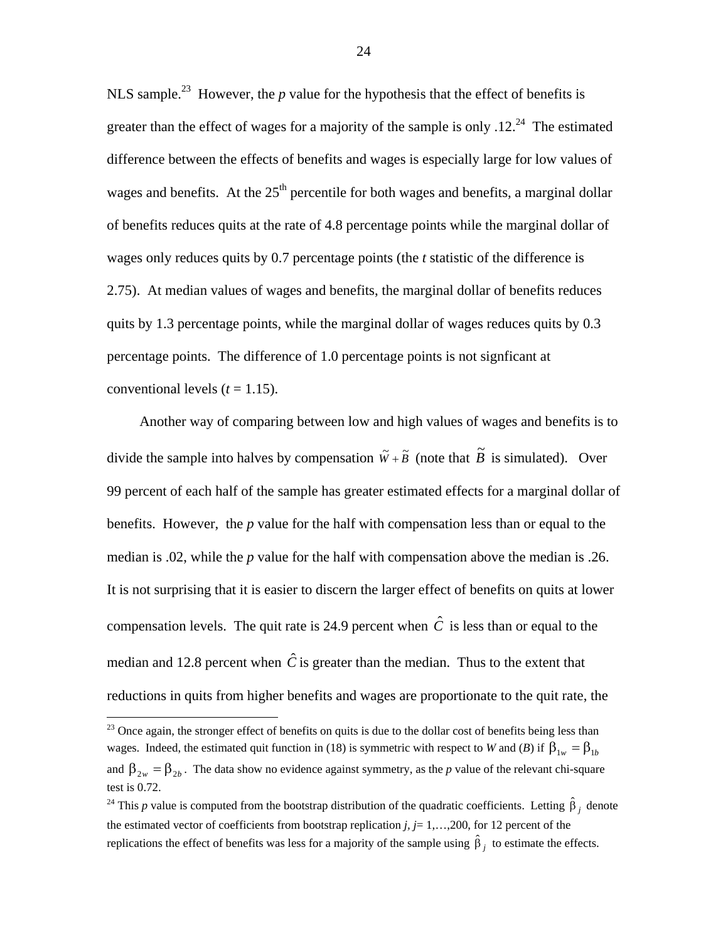NLS sample.<sup>23</sup> However, the  $p$  value for the hypothesis that the effect of benefits is greater than the effect of wages for a majority of the sample is only  $.12<sup>24</sup>$  The estimated difference between the effects of benefits and wages is especially large for low values of wages and benefits. At the 25<sup>th</sup> percentile for both wages and benefits, a marginal dollar of benefits reduces quits at the rate of 4.8 percentage points while the marginal dollar of wages only reduces quits by 0.7 percentage points (the *t* statistic of the difference is 2.75). At median values of wages and benefits, the marginal dollar of benefits reduces quits by 1.3 percentage points, while the marginal dollar of wages reduces quits by 0.3 percentage points. The difference of 1.0 percentage points is not signficant at conventional levels  $(t = 1.15)$ .

Another way of comparing between low and high values of wages and benefits is to divide the sample into halves by compensation  $\tilde{W} + \tilde{B}$  (note that  $\tilde{B}$  is simulated). Over 99 percent of each half of the sample has greater estimated effects for a marginal dollar of benefits. However, the *p* value for the half with compensation less than or equal to the median is .02, while the *p* value for the half with compensation above the median is .26. It is not surprising that it is easier to discern the larger effect of benefits on quits at lower compensation levels. The quit rate is 24.9 percent when  $\hat{C}$  is less than or equal to the median and 12.8 percent when  $\hat{C}$  is greater than the median. Thus to the extent that reductions in quits from higher benefits and wages are proportionate to the quit rate, the

 $^{23}$  Once again, the stronger effect of benefits on quits is due to the dollar cost of benefits being less than wages. Indeed, the estimated quit function in (18) is symmetric with respect to *W* and (*B*) if  $\beta_{1w} = \beta_{1b}$ and  $\beta_{2w} = \beta_{2b}$ . The data show no evidence against symmetry, as the *p* value of the relevant chi-square test is 0.72.

<sup>&</sup>lt;sup>24</sup> This *p* value is computed from the bootstrap distribution of the quadratic coefficients. Letting  $\hat{\beta}_j$  denote the estimated vector of coefficients from bootstrap replication  $j$ ,  $j = 1, \ldots, 200$ , for 12 percent of the replications the effect of benefits was less for a majority of the sample using  $\hat{\beta}_i$  to estimate the effects.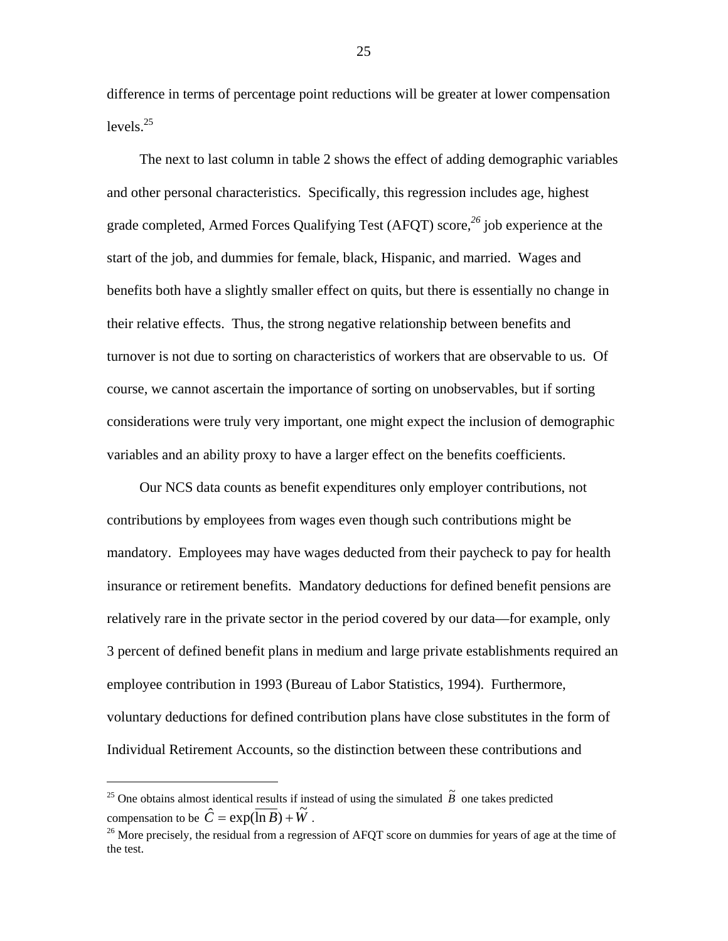difference in terms of percentage point reductions will be greater at lower compensation levels. $^{25}$ 

The next to last column in table 2 shows the effect of adding demographic variables and other personal characteristics. Specifically, this regression includes age, highest grade completed, Armed Forces Qualifying Test (AFQT) score,*<sup>26</sup>* job experience at the start of the job, and dummies for female, black, Hispanic, and married. Wages and benefits both have a slightly smaller effect on quits, but there is essentially no change in their relative effects. Thus, the strong negative relationship between benefits and turnover is not due to sorting on characteristics of workers that are observable to us. Of course, we cannot ascertain the importance of sorting on unobservables, but if sorting considerations were truly very important, one might expect the inclusion of demographic variables and an ability proxy to have a larger effect on the benefits coefficients.

Our NCS data counts as benefit expenditures only employer contributions, not contributions by employees from wages even though such contributions might be mandatory. Employees may have wages deducted from their paycheck to pay for health insurance or retirement benefits. Mandatory deductions for defined benefit pensions are relatively rare in the private sector in the period covered by our data—for example, only 3 percent of defined benefit plans in medium and large private establishments required an employee contribution in 1993 (Bureau of Labor Statistics, 1994). Furthermore, voluntary deductions for defined contribution plans have close substitutes in the form of Individual Retirement Accounts, so the distinction between these contributions and

 $\overline{a}$ 

<sup>&</sup>lt;sup>25</sup> One obtains almost identical results if instead of using the simulated  $\tilde{B}$  one takes predicted compensation to be  $\hat{C} = \exp(\overline{\ln B}) + \tilde{W}$ .

 $^{26}$  More precisely, the residual from a regression of AFQT score on dummies for years of age at the time of the test.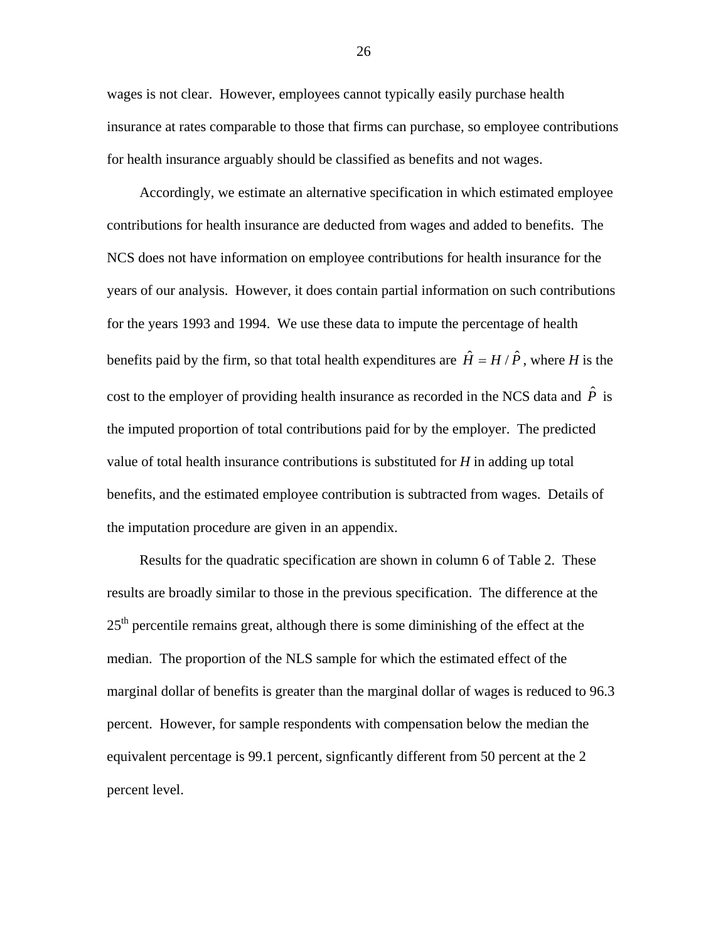wages is not clear. However, employees cannot typically easily purchase health insurance at rates comparable to those that firms can purchase, so employee contributions for health insurance arguably should be classified as benefits and not wages.

Accordingly, we estimate an alternative specification in which estimated employee contributions for health insurance are deducted from wages and added to benefits. The NCS does not have information on employee contributions for health insurance for the years of our analysis. However, it does contain partial information on such contributions for the years 1993 and 1994. We use these data to impute the percentage of health benefits paid by the firm, so that total health expenditures are  $\hat{H} = H/\hat{P}$ , where *H* is the cost to the employer of providing health insurance as recorded in the NCS data and  $\hat{P}$  is the imputed proportion of total contributions paid for by the employer. The predicted value of total health insurance contributions is substituted for *H* in adding up total benefits, and the estimated employee contribution is subtracted from wages. Details of the imputation procedure are given in an appendix.

Results for the quadratic specification are shown in column 6 of Table 2. These results are broadly similar to those in the previous specification. The difference at the  $25<sup>th</sup>$  percentile remains great, although there is some diminishing of the effect at the median. The proportion of the NLS sample for which the estimated effect of the marginal dollar of benefits is greater than the marginal dollar of wages is reduced to 96.3 percent. However, for sample respondents with compensation below the median the equivalent percentage is 99.1 percent, signficantly different from 50 percent at the 2 percent level.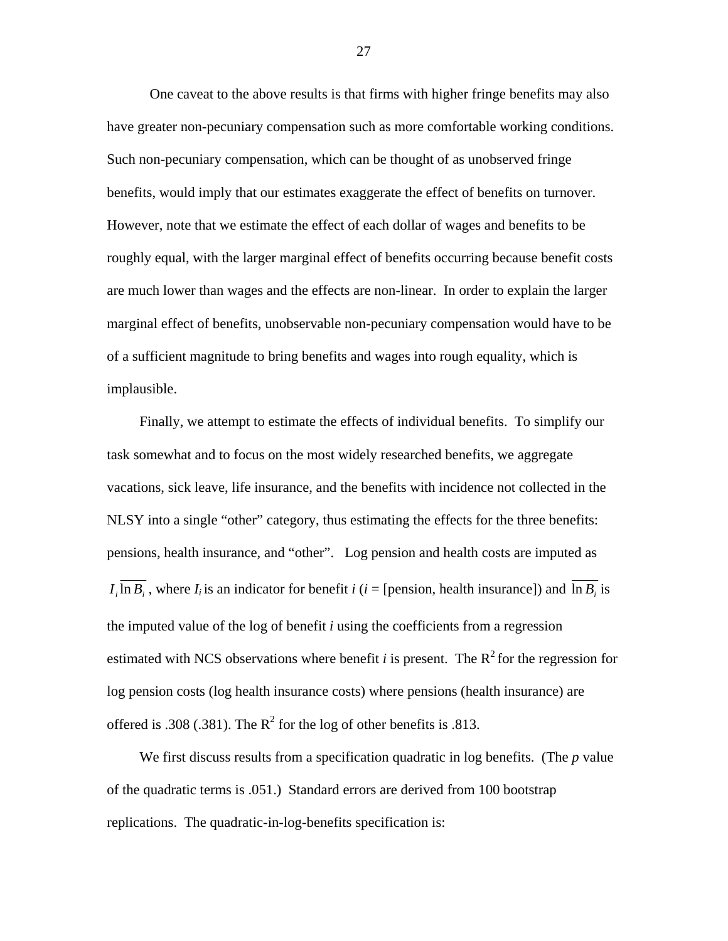One caveat to the above results is that firms with higher fringe benefits may also have greater non-pecuniary compensation such as more comfortable working conditions. Such non-pecuniary compensation, which can be thought of as unobserved fringe benefits, would imply that our estimates exaggerate the effect of benefits on turnover. However, note that we estimate the effect of each dollar of wages and benefits to be roughly equal, with the larger marginal effect of benefits occurring because benefit costs are much lower than wages and the effects are non-linear. In order to explain the larger marginal effect of benefits, unobservable non-pecuniary compensation would have to be of a sufficient magnitude to bring benefits and wages into rough equality, which is implausible.

Finally, we attempt to estimate the effects of individual benefits. To simplify our task somewhat and to focus on the most widely researched benefits, we aggregate vacations, sick leave, life insurance, and the benefits with incidence not collected in the NLSY into a single "other" category, thus estimating the effects for the three benefits: pensions, health insurance, and "other". Log pension and health costs are imputed as  $I_i$   $\overline{\ln B_i}$ , where  $I_i$  is an indicator for benefit *i* (*i* = [pension, health insurance]) and  $\overline{\ln B_i}$  is the imputed value of the log of benefit *i* using the coefficients from a regression estimated with NCS observations where benefit *i* is present. The  $R^2$  for the regression for log pension costs (log health insurance costs) where pensions (health insurance) are offered is .308 (.381). The  $R^2$  for the log of other benefits is .813.

We first discuss results from a specification quadratic in log benefits. (The *p* value of the quadratic terms is .051.) Standard errors are derived from 100 bootstrap replications. The quadratic-in-log-benefits specification is: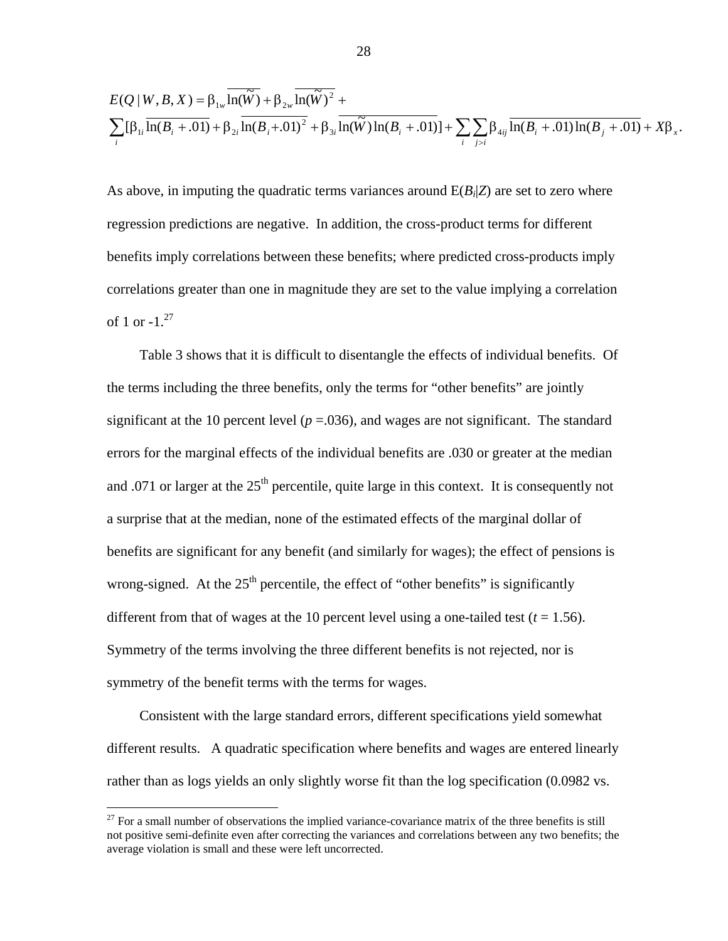$$
E(Q | W, B, X) = \beta_{1w} \overline{\ln(\tilde{W})} + \beta_{2w} \overline{\ln(\tilde{W})^2} + \sum_{i} [\beta_{1i} \overline{\ln(B_i + .01)} + \beta_{2i} \overline{\ln(B_i + .01)^2} + \beta_{3i} \overline{\ln(\tilde{W})} \ln(B_i + .01)] + \sum_{i} \sum_{j>i} \beta_{4ij} \overline{\ln(B_i + .01)} \ln(B_j + .01) + X\beta_x.
$$

As above, in imputing the quadratic terms variances around  $E(B_i|Z)$  are set to zero where regression predictions are negative. In addition, the cross-product terms for different benefits imply correlations between these benefits; where predicted cross-products imply correlations greater than one in magnitude they are set to the value implying a correlation of 1 or  $-1.27$ 

Table 3 shows that it is difficult to disentangle the effects of individual benefits. Of the terms including the three benefits, only the terms for "other benefits" are jointly significant at the 10 percent level ( $p = 0.036$ ), and wages are not significant. The standard errors for the marginal effects of the individual benefits are .030 or greater at the median and .071 or larger at the  $25<sup>th</sup>$  percentile, quite large in this context. It is consequently not a surprise that at the median, none of the estimated effects of the marginal dollar of benefits are significant for any benefit (and similarly for wages); the effect of pensions is wrong-signed. At the  $25<sup>th</sup>$  percentile, the effect of "other benefits" is significantly different from that of wages at the 10 percent level using a one-tailed test  $(t = 1.56)$ . Symmetry of the terms involving the three different benefits is not rejected, nor is symmetry of the benefit terms with the terms for wages.

Consistent with the large standard errors, different specifications yield somewhat different results. A quadratic specification where benefits and wages are entered linearly rather than as logs yields an only slightly worse fit than the log specification (0.0982 vs.

 $27$  For a small number of observations the implied variance-covariance matrix of the three benefits is still not positive semi-definite even after correcting the variances and correlations between any two benefits; the average violation is small and these were left uncorrected.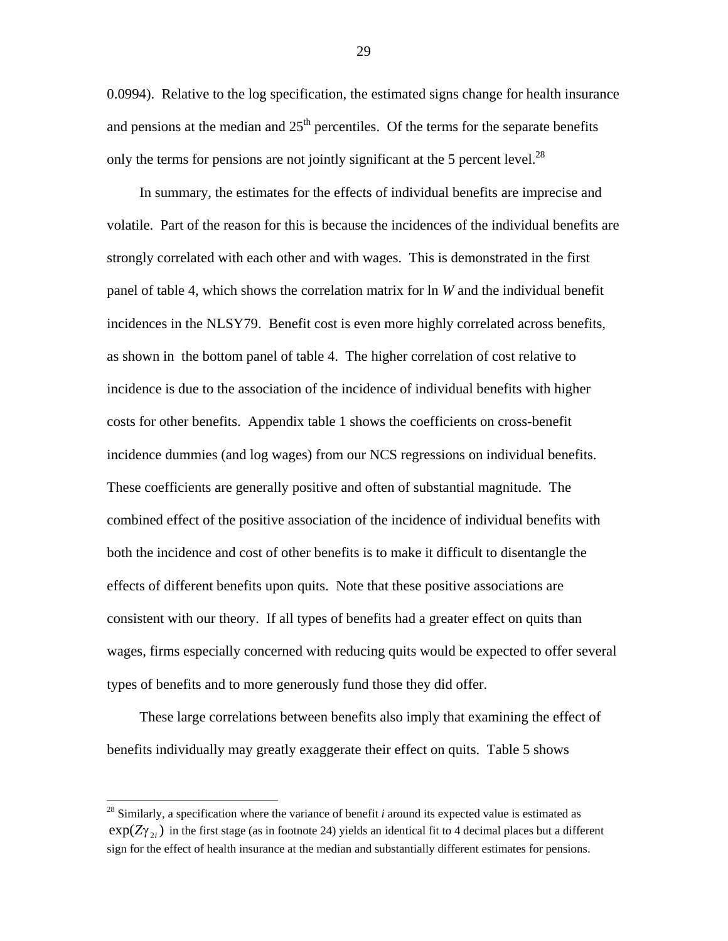0.0994). Relative to the log specification, the estimated signs change for health insurance and pensions at the median and  $25<sup>th</sup>$  percentiles. Of the terms for the separate benefits only the terms for pensions are not jointly significant at the 5 percent level.<sup>28</sup>

In summary, the estimates for the effects of individual benefits are imprecise and volatile. Part of the reason for this is because the incidences of the individual benefits are strongly correlated with each other and with wages. This is demonstrated in the first panel of table 4, which shows the correlation matrix for ln *W* and the individual benefit incidences in the NLSY79. Benefit cost is even more highly correlated across benefits, as shown in the bottom panel of table 4. The higher correlation of cost relative to incidence is due to the association of the incidence of individual benefits with higher costs for other benefits. Appendix table 1 shows the coefficients on cross-benefit incidence dummies (and log wages) from our NCS regressions on individual benefits. These coefficients are generally positive and often of substantial magnitude. The combined effect of the positive association of the incidence of individual benefits with both the incidence and cost of other benefits is to make it difficult to disentangle the effects of different benefits upon quits. Note that these positive associations are consistent with our theory. If all types of benefits had a greater effect on quits than wages, firms especially concerned with reducing quits would be expected to offer several types of benefits and to more generously fund those they did offer.

These large correlations between benefits also imply that examining the effect of benefits individually may greatly exaggerate their effect on quits. Table 5 shows

 $\overline{a}$ 

<sup>&</sup>lt;sup>28</sup> Similarly, a specification where the variance of benefit *i* around its expected value is estimated as  $\exp(Z_{\gamma_{2i}})$  in the first stage (as in footnote 24) yields an identical fit to 4 decimal places but a different sign for the effect of health insurance at the median and substantially different estimates for pensions.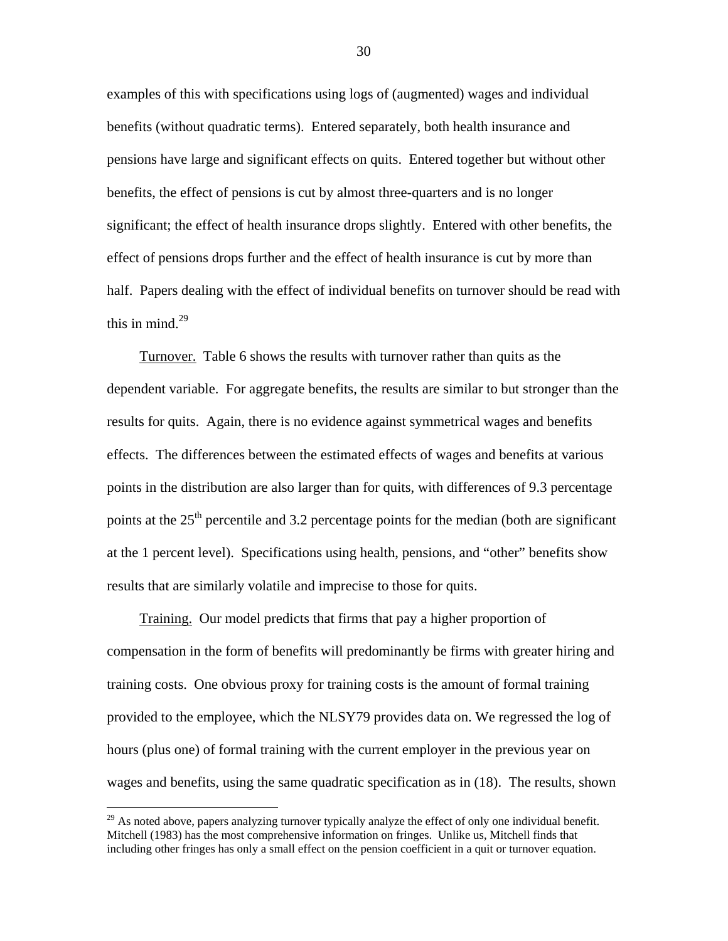examples of this with specifications using logs of (augmented) wages and individual benefits (without quadratic terms). Entered separately, both health insurance and pensions have large and significant effects on quits. Entered together but without other benefits, the effect of pensions is cut by almost three-quarters and is no longer significant; the effect of health insurance drops slightly. Entered with other benefits, the effect of pensions drops further and the effect of health insurance is cut by more than half. Papers dealing with the effect of individual benefits on turnover should be read with this in mind.<sup>29</sup>

Turnover. Table 6 shows the results with turnover rather than quits as the dependent variable. For aggregate benefits, the results are similar to but stronger than the results for quits. Again, there is no evidence against symmetrical wages and benefits effects. The differences between the estimated effects of wages and benefits at various points in the distribution are also larger than for quits, with differences of 9.3 percentage points at the  $25<sup>th</sup>$  percentile and 3.2 percentage points for the median (both are significant at the 1 percent level). Specifications using health, pensions, and "other" benefits show results that are similarly volatile and imprecise to those for quits.

Training. Our model predicts that firms that pay a higher proportion of compensation in the form of benefits will predominantly be firms with greater hiring and training costs. One obvious proxy for training costs is the amount of formal training provided to the employee, which the NLSY79 provides data on. We regressed the log of hours (plus one) of formal training with the current employer in the previous year on wages and benefits, using the same quadratic specification as in (18). The results, shown

 $\overline{a}$ 

 $^{29}$  As noted above, papers analyzing turnover typically analyze the effect of only one individual benefit. Mitchell (1983) has the most comprehensive information on fringes. Unlike us, Mitchell finds that including other fringes has only a small effect on the pension coefficient in a quit or turnover equation.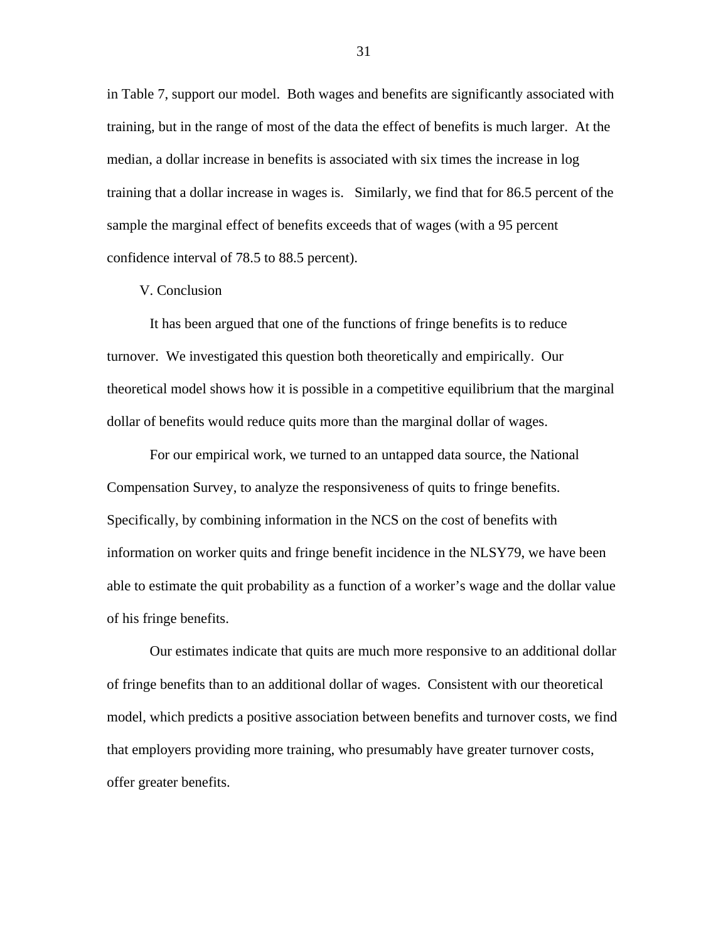in Table 7, support our model. Both wages and benefits are significantly associated with training, but in the range of most of the data the effect of benefits is much larger. At the median, a dollar increase in benefits is associated with six times the increase in log training that a dollar increase in wages is. Similarly, we find that for 86.5 percent of the sample the marginal effect of benefits exceeds that of wages (with a 95 percent confidence interval of 78.5 to 88.5 percent).

#### V. Conclusion

It has been argued that one of the functions of fringe benefits is to reduce turnover. We investigated this question both theoretically and empirically. Our theoretical model shows how it is possible in a competitive equilibrium that the marginal dollar of benefits would reduce quits more than the marginal dollar of wages.

For our empirical work, we turned to an untapped data source, the National Compensation Survey, to analyze the responsiveness of quits to fringe benefits. Specifically, by combining information in the NCS on the cost of benefits with information on worker quits and fringe benefit incidence in the NLSY79, we have been able to estimate the quit probability as a function of a worker's wage and the dollar value of his fringe benefits.

Our estimates indicate that quits are much more responsive to an additional dollar of fringe benefits than to an additional dollar of wages. Consistent with our theoretical model, which predicts a positive association between benefits and turnover costs, we find that employers providing more training, who presumably have greater turnover costs, offer greater benefits.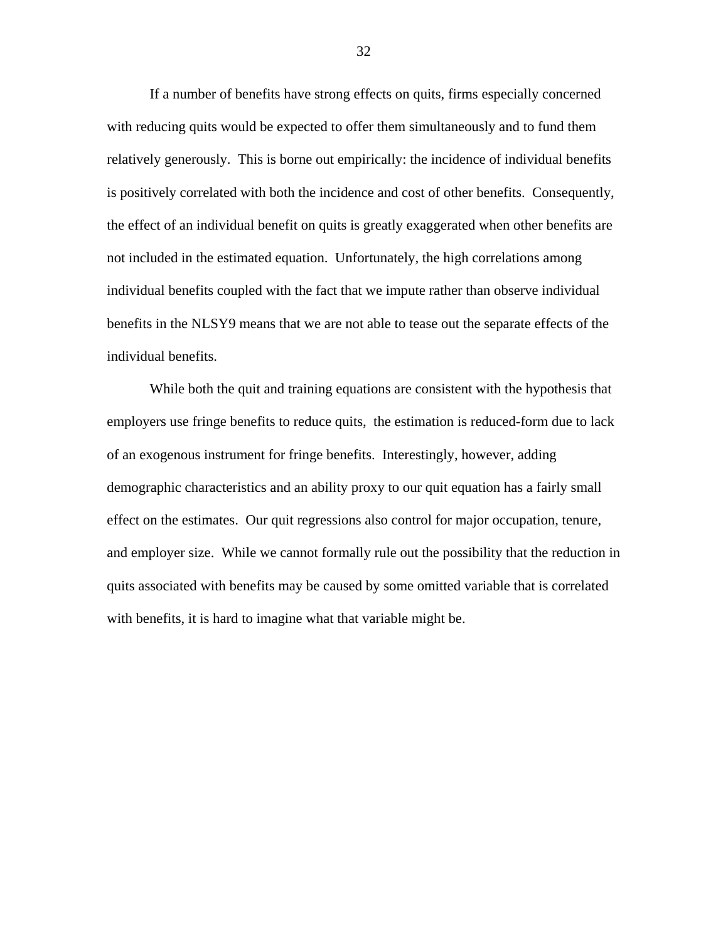If a number of benefits have strong effects on quits, firms especially concerned with reducing quits would be expected to offer them simultaneously and to fund them relatively generously. This is borne out empirically: the incidence of individual benefits is positively correlated with both the incidence and cost of other benefits. Consequently, the effect of an individual benefit on quits is greatly exaggerated when other benefits are not included in the estimated equation. Unfortunately, the high correlations among individual benefits coupled with the fact that we impute rather than observe individual benefits in the NLSY9 means that we are not able to tease out the separate effects of the individual benefits.

While both the quit and training equations are consistent with the hypothesis that employers use fringe benefits to reduce quits, the estimation is reduced-form due to lack of an exogenous instrument for fringe benefits. Interestingly, however, adding demographic characteristics and an ability proxy to our quit equation has a fairly small effect on the estimates. Our quit regressions also control for major occupation, tenure, and employer size. While we cannot formally rule out the possibility that the reduction in quits associated with benefits may be caused by some omitted variable that is correlated with benefits, it is hard to imagine what that variable might be.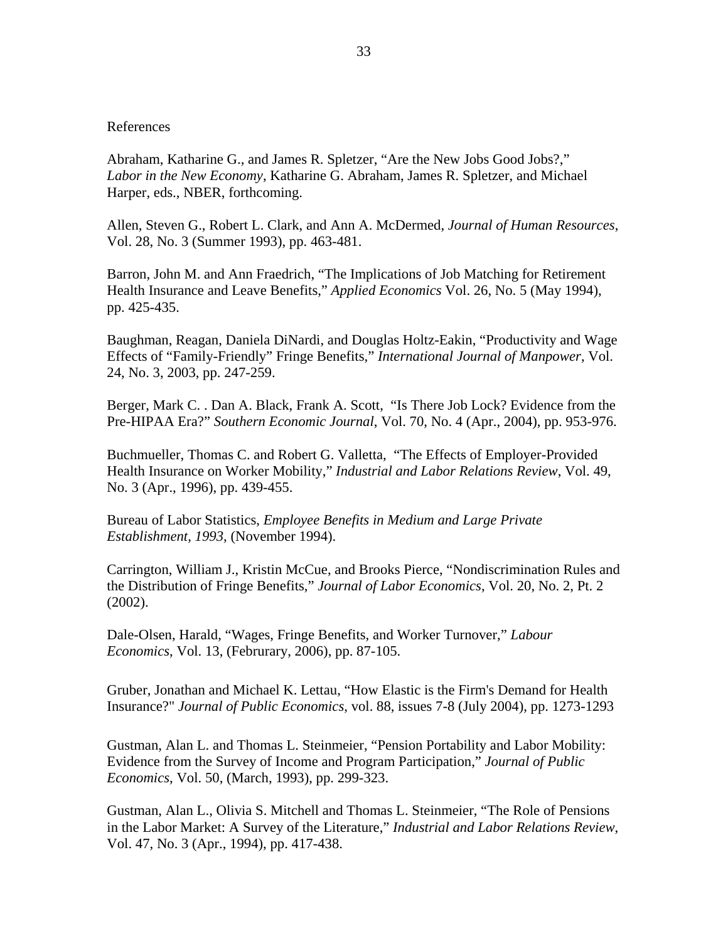### References

Abraham, Katharine G., and James R. Spletzer, "Are the New Jobs Good Jobs?," *Labor in the New Economy*, Katharine G. Abraham, James R. Spletzer, and Michael Harper, eds., NBER, forthcoming.

Allen, Steven G., Robert L. Clark, and Ann A. McDermed, *Journal of Human Resources*, Vol. 28, No. 3 (Summer 1993), pp. 463-481.

Barron, John M. and Ann Fraedrich, "The Implications of Job Matching for Retirement Health Insurance and Leave Benefits," *Applied Economics* Vol. 26, No. 5 (May 1994), pp. 425-435.

Baughman, Reagan, Daniela DiNardi, and Douglas Holtz-Eakin, "Productivity and Wage Effects of "Family-Friendly" Fringe Benefits," *International Journal of Manpower*, Vol. 24, No. 3, 2003, pp. 247-259.

Berger, Mark C. . Dan A. Black, Frank A. Scott, "Is There Job Lock? Evidence from the Pre-HIPAA Era?" *Southern Economic Journal*, Vol. 70, No. 4 (Apr., 2004), pp. 953-976.

Buchmueller, Thomas C. and Robert G. Valletta, "The Effects of Employer-Provided Health Insurance on Worker Mobility," *Industrial and Labor Relations Review*, Vol. 49, No. 3 (Apr., 1996), pp. 439-455.

Bureau of Labor Statistics, *Employee Benefits in Medium and Large Private Establishment, 1993,* (November 1994).

Carrington, William J., Kristin McCue, and Brooks Pierce, "Nondiscrimination Rules and the Distribution of Fringe Benefits," *Journal of Labor Economics*, Vol. 20, No. 2, Pt. 2 (2002).

Dale-Olsen, Harald, "Wages, Fringe Benefits, and Worker Turnover," *Labour Economics*, Vol. 13, (Februrary, 2006), pp. 87-105.

Gruber, Jonathan and Michael K. Lettau, "How Elastic is the Firm's Demand for Health Insurance?" *Journal of Public Economics*, vol. 88, issues 7-8 (July 2004), pp. 1273-1293

Gustman, Alan L. and Thomas L. Steinmeier, "Pension Portability and Labor Mobility: Evidence from the Survey of Income and Program Participation," *Journal of Public Economics*, Vol. 50, (March, 1993), pp. 299-323.

Gustman, Alan L., Olivia S. Mitchell and Thomas L. Steinmeier, "The Role of Pensions in the Labor Market: A Survey of the Literature," *Industrial and Labor Relations Review*, Vol. 47, No. 3 (Apr., 1994), pp. 417-438.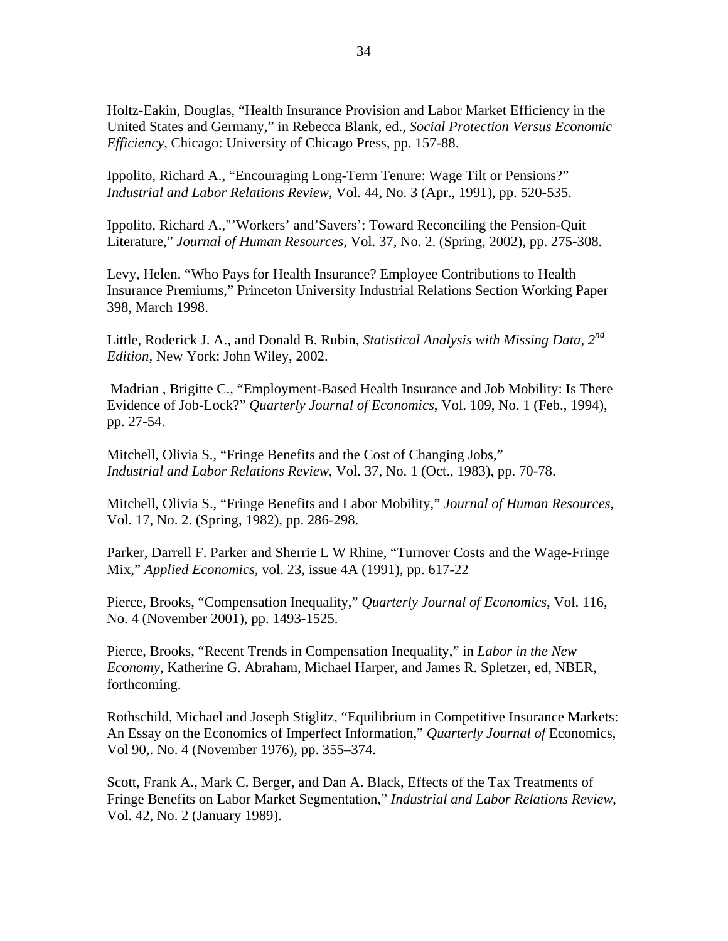Holtz-Eakin, Douglas, "Health Insurance Provision and Labor Market Efficiency in the United States and Germany," in Rebecca Blank, ed., *Social Protection Versus Economic Efficiency*, Chicago: University of Chicago Press, pp. 157-88.

Ippolito, Richard A., "Encouraging Long-Term Tenure: Wage Tilt or Pensions?" *Industrial and Labor Relations Review*, Vol. 44, No. 3 (Apr., 1991), pp. 520-535.

Ippolito, Richard A.,"'Workers' and'Savers': Toward Reconciling the Pension-Quit Literature," *Journal of Human Resources*, Vol. 37, No. 2. (Spring, 2002), pp. 275-308.

Levy, Helen. "Who Pays for Health Insurance? Employee Contributions to Health Insurance Premiums," Princeton University Industrial Relations Section Working Paper 398, March 1998.

Little, Roderick J. A., and Donald B. Rubin, *Statistical Analysis with Missing Data, 2nd Edition,* New York: John Wiley, 2002.

 Madrian , Brigitte C., "Employment-Based Health Insurance and Job Mobility: Is There Evidence of Job-Lock?" *Quarterly Journal of Economics*, Vol. 109, No. 1 (Feb., 1994), pp. 27-54.

Mitchell, Olivia S., "Fringe Benefits and the Cost of Changing Jobs," *Industrial and Labor Relations Review*, Vol. 37, No. 1 (Oct., 1983), pp. 70-78.

Mitchell, Olivia S., "Fringe Benefits and Labor Mobility," *Journal of Human Resources*, Vol. 17, No. 2. (Spring, 1982), pp. 286-298.

Parker, Darrell F. Parker and Sherrie L W Rhine, "Turnover Costs and the Wage-Fringe Mix," *Applied Economics*, vol. 23, issue 4A (1991), pp. 617-22

Pierce, Brooks, "Compensation Inequality," *Quarterly Journal of Economics*, Vol. 116, No. 4 (November 2001), pp. 1493-1525.

Pierce, Brooks, "Recent Trends in Compensation Inequality," in *Labor in the New Economy*, Katherine G. Abraham, Michael Harper, and James R. Spletzer, ed, NBER, forthcoming.

Rothschild, Michael and Joseph Stiglitz, "Equilibrium in Competitive Insurance Markets: An Essay on the Economics of Imperfect Information," *Quarterly Journal of* Economics, Vol 90,. No. 4 (November 1976), pp. 355–374.

Scott, Frank A., Mark C. Berger, and Dan A. Black, Effects of the Tax Treatments of Fringe Benefits on Labor Market Segmentation," *Industrial and Labor Relations Review*, Vol. 42, No. 2 (January 1989).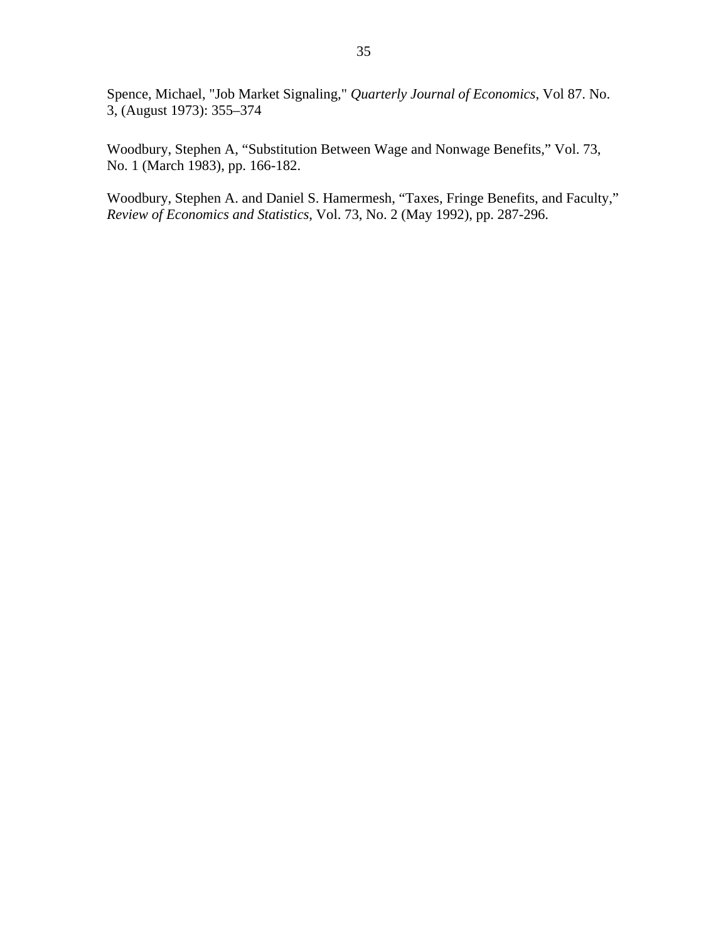Spence, Michael, "Job Market Signaling," *Quarterly Journal of Economics*, Vol 87. No. 3, (August 1973): 355–374

Woodbury, Stephen A, "Substitution Between Wage and Nonwage Benefits," Vol. 73, No. 1 (March 1983), pp. 166-182.

Woodbury, Stephen A. and Daniel S. Hamermesh, "Taxes, Fringe Benefits, and Faculty," *Review of Economics and Statistics*, Vol. 73, No. 2 (May 1992), pp. 287-296.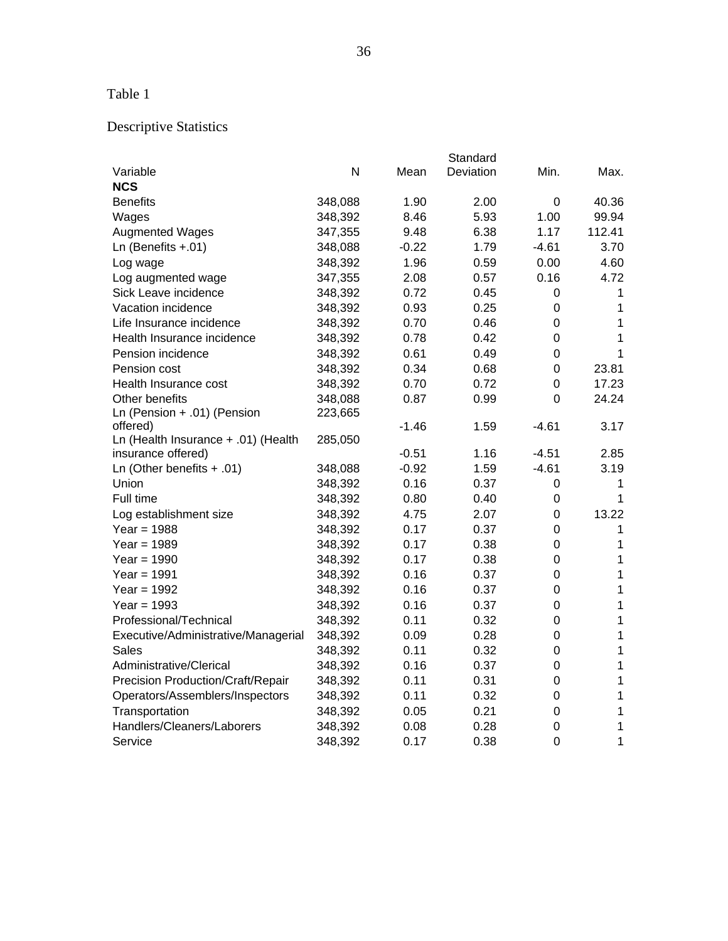## Descriptive Statistics

|                                     |              |         | Standard  |         |              |
|-------------------------------------|--------------|---------|-----------|---------|--------------|
| Variable                            | $\mathsf{N}$ | Mean    | Deviation | Min.    | Max.         |
| <b>NCS</b>                          |              |         |           |         |              |
| <b>Benefits</b>                     | 348,088      | 1.90    | 2.00      | 0       | 40.36        |
| Wages                               | 348,392      | 8.46    | 5.93      | 1.00    | 99.94        |
| <b>Augmented Wages</b>              | 347,355      | 9.48    | 6.38      | 1.17    | 112.41       |
| Ln (Benefits +.01)                  | 348,088      | $-0.22$ | 1.79      | $-4.61$ | 3.70         |
| Log wage                            | 348,392      | 1.96    | 0.59      | 0.00    | 4.60         |
| Log augmented wage                  | 347,355      | 2.08    | 0.57      | 0.16    | 4.72         |
| Sick Leave incidence                | 348,392      | 0.72    | 0.45      | 0       | 1            |
| Vacation incidence                  | 348,392      | 0.93    | 0.25      | 0       | 1            |
| Life Insurance incidence            | 348,392      | 0.70    | 0.46      | 0       | 1            |
| Health Insurance incidence          | 348,392      | 0.78    | 0.42      | 0       | 1            |
| Pension incidence                   | 348,392      | 0.61    | 0.49      | 0       | 1            |
| Pension cost                        | 348,392      | 0.34    | 0.68      | 0       | 23.81        |
| Health Insurance cost               | 348,392      | 0.70    | 0.72      | 0       | 17.23        |
| Other benefits                      | 348,088      | 0.87    | 0.99      | 0       | 24.24        |
| Ln (Pension + .01) (Pension         | 223,665      |         |           |         |              |
| offered)                            |              | $-1.46$ | 1.59      | $-4.61$ | 3.17         |
| Ln (Health Insurance + .01) (Health | 285,050      |         |           |         |              |
| insurance offered)                  |              | $-0.51$ | 1.16      | $-4.51$ | 2.85         |
| Ln (Other benefits $+ .01$ )        | 348,088      | $-0.92$ | 1.59      | $-4.61$ | 3.19         |
| Union                               | 348,392      | 0.16    | 0.37      | 0       | 1            |
| Full time                           | 348,392      | 0.80    | 0.40      | 0       | 1            |
| Log establishment size              | 348,392      | 4.75    | 2.07      | 0       | 13.22        |
| Year = $1988$                       | 348,392      | 0.17    | 0.37      | 0       | 1            |
| Year = 1989                         | 348,392      | 0.17    | 0.38      | 0       | $\mathbf{1}$ |
| Year = $1990$                       | 348,392      | 0.17    | 0.38      | 0       | $\mathbf{1}$ |
| Year = $1991$                       | 348,392      | 0.16    | 0.37      | 0       | 1            |
| Year = $1992$                       | 348,392      | 0.16    | 0.37      | 0       | 1            |
| Year = $1993$                       | 348,392      | 0.16    | 0.37      | 0       | $\mathbf{1}$ |
| Professional/Technical              | 348,392      | 0.11    | 0.32      | 0       | $\mathbf{1}$ |
| Executive/Administrative/Managerial | 348,392      | 0.09    | 0.28      | 0       | $\mathbf{1}$ |
| <b>Sales</b>                        | 348,392      | 0.11    | 0.32      | 0       | $\mathbf 1$  |
| Administrative/Clerical             | 348,392      | 0.16    | 0.37      | 0       | $\mathbf{1}$ |
| Precision Production/Craft/Repair   | 348,392      | 0.11    | 0.31      | 0       | $\mathbf{1}$ |
| Operators/Assemblers/Inspectors     | 348,392      | 0.11    | 0.32      | 0       | $\mathbf{1}$ |
| Transportation                      | 348,392      | 0.05    | 0.21      | 0       | $\mathbf{1}$ |
| Handlers/Cleaners/Laborers          | 348,392      | 0.08    | 0.28      | 0       | $\mathbf{1}$ |
| Service                             | 348,392      | 0.17    | 0.38      | 0       | 1            |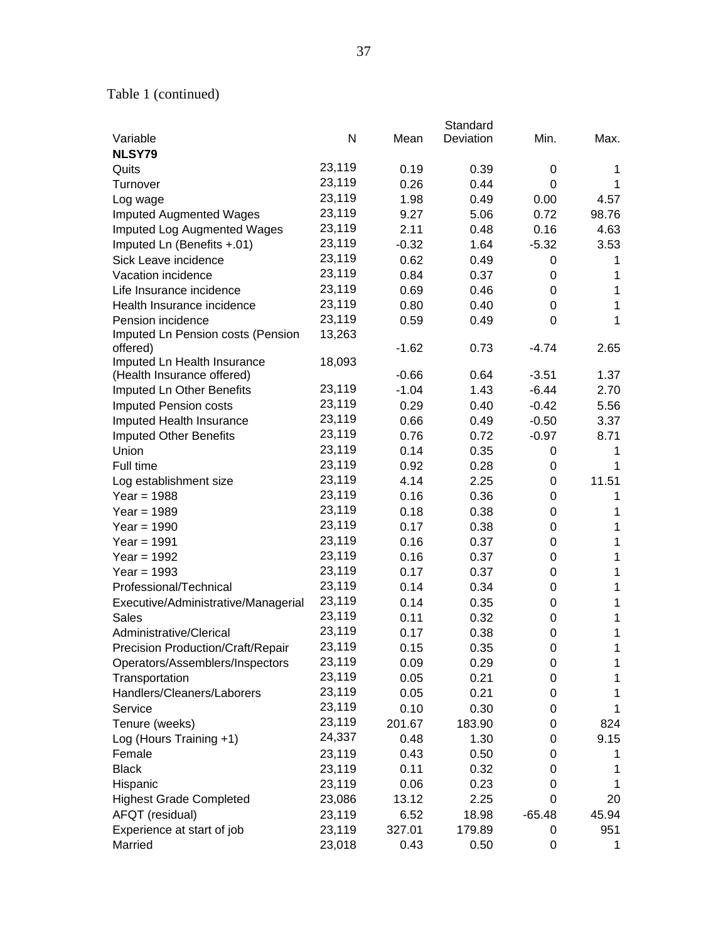Table 1 (continued)

|                                     |        |         | Standard  |             |              |
|-------------------------------------|--------|---------|-----------|-------------|--------------|
| Variable                            | N      | Mean    | Deviation | Min.        | Max.         |
| NLSY79                              |        |         |           |             |              |
| Quits                               | 23,119 | 0.19    | 0.39      | 0           | 1            |
| Turnover                            | 23,119 | 0.26    | 0.44      | 0           | 1            |
| Log wage                            | 23,119 | 1.98    | 0.49      | 0.00        | 4.57         |
| <b>Imputed Augmented Wages</b>      | 23,119 | 9.27    | 5.06      | 0.72        | 98.76        |
| Imputed Log Augmented Wages         | 23,119 | 2.11    | 0.48      | 0.16        | 4.63         |
| Imputed Ln (Benefits +.01)          | 23,119 | $-0.32$ | 1.64      | $-5.32$     | 3.53         |
| Sick Leave incidence                | 23,119 | 0.62    | 0.49      | $\pmb{0}$   | 1            |
| Vacation incidence                  | 23,119 | 0.84    | 0.37      | 0           | 1            |
| Life Insurance incidence            | 23,119 | 0.69    | 0.46      | 0           | 1            |
| Health Insurance incidence          | 23,119 | 0.80    | 0.40      | 0           | 1            |
| Pension incidence                   | 23,119 | 0.59    | 0.49      | 0           | 1            |
| Imputed Ln Pension costs (Pension   | 13,263 |         |           |             |              |
| offered)                            |        | $-1.62$ | 0.73      | $-4.74$     | 2.65         |
| Imputed Ln Health Insurance         | 18,093 |         |           |             |              |
| (Health Insurance offered)          |        | $-0.66$ | 0.64      | $-3.51$     | 1.37         |
| Imputed Ln Other Benefits           | 23,119 | $-1.04$ | 1.43      | $-6.44$     | 2.70         |
| <b>Imputed Pension costs</b>        | 23,119 | 0.29    | 0.40      | $-0.42$     | 5.56         |
| Imputed Health Insurance            | 23,119 | 0.66    | 0.49      | $-0.50$     | 3.37         |
| <b>Imputed Other Benefits</b>       | 23,119 | 0.76    | 0.72      | $-0.97$     | 8.71         |
| Union                               | 23,119 | 0.14    | 0.35      | $\pmb{0}$   | 1            |
| Full time                           | 23,119 | 0.92    | 0.28      | $\pmb{0}$   | 1            |
| Log establishment size              | 23,119 | 4.14    | 2.25      | 0           | 11.51        |
| Year = $1988$                       | 23,119 | 0.16    | 0.36      | 0           | 1            |
| Year = $1989$                       | 23,119 | 0.18    | 0.38      | 0           | 1            |
| Year = $1990$                       | 23,119 | 0.17    | 0.38      | 0           | 1            |
| Year = $1991$                       | 23,119 | 0.16    | 0.37      | 0           | 1            |
| Year = $1992$                       | 23,119 | 0.16    | 0.37      | 0           | 1            |
| Year = $1993$                       | 23,119 | 0.17    | 0.37      | 0           | 1            |
| Professional/Technical              | 23,119 | 0.14    | 0.34      | $\pmb{0}$   | 1            |
|                                     | 23,119 | 0.14    | 0.35      | 0           | 1            |
| Executive/Administrative/Managerial | 23,119 |         |           |             |              |
| <b>Sales</b>                        | 23,119 | 0.11    | 0.32      | 0           | 1            |
| Administrative/Clerical             |        | 0.17    | 0.38      | $\mathbf 0$ | 1            |
| Precision Production/Craft/Repair   | 23,119 | 0.15    | 0.35      | $\pmb{0}$   | $\mathbf{1}$ |
| Operators/Assemblers/Inspectors     | 23,119 | 0.09    | 0.29      | 0           | 1            |
| Transportation                      | 23,119 | 0.05    | 0.21      | 0           | 1            |
| Handlers/Cleaners/Laborers          | 23,119 | 0.05    | 0.21      | 0           | 1            |
| Service                             | 23,119 | 0.10    | 0.30      | 0           | 1            |
| Tenure (weeks)                      | 23,119 | 201.67  | 183.90    | 0           | 824          |
| Log (Hours Training +1)             | 24,337 | 0.48    | 1.30      | 0           | 9.15         |
| Female                              | 23,119 | 0.43    | 0.50      | 0           | 1            |
| <b>Black</b>                        | 23,119 | 0.11    | 0.32      | 0           | 1            |
| Hispanic                            | 23,119 | 0.06    | 0.23      | 0           | 1            |
| <b>Highest Grade Completed</b>      | 23,086 | 13.12   | 2.25      | 0           | 20           |
| AFQT (residual)                     | 23,119 | 6.52    | 18.98     | $-65.48$    | 45.94        |
| Experience at start of job          | 23,119 | 327.01  | 179.89    | 0           | 951          |
| Married                             | 23,018 | 0.43    | 0.50      | 0           | 1            |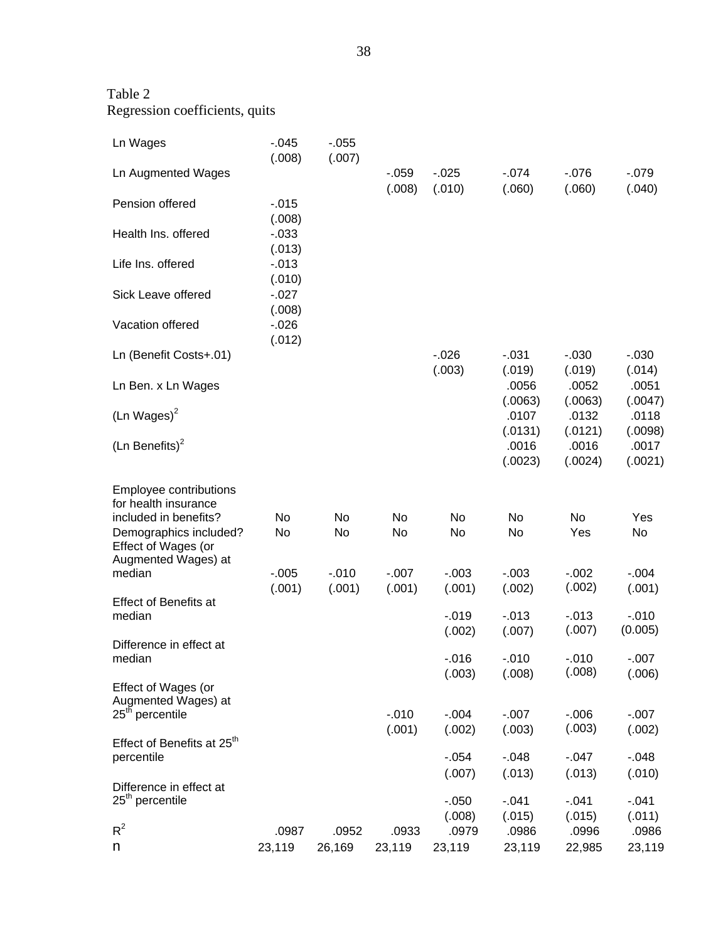|  | Regression coefficients, quits |  |
|--|--------------------------------|--|
|  |                                |  |

| Ln Wages                                                                | $-0.045$<br>(.008) | $-0.055$<br>(.007) |                    |                    |                    |                    |                     |
|-------------------------------------------------------------------------|--------------------|--------------------|--------------------|--------------------|--------------------|--------------------|---------------------|
| Ln Augmented Wages                                                      |                    |                    | $-0.059$           | $-0.025$           | $-074$             | $-0.076$           | $-079$              |
| Pension offered                                                         | $-0.015$<br>(.008) |                    | (.008)             | (.010)             | (.060)             | (.060)             | (.040)              |
| Health Ins. offered                                                     | $-0.033$<br>(.013) |                    |                    |                    |                    |                    |                     |
| Life Ins. offered                                                       | $-0.013$<br>(.010) |                    |                    |                    |                    |                    |                     |
| Sick Leave offered                                                      | $-0.027$<br>(.008) |                    |                    |                    |                    |                    |                     |
| Vacation offered                                                        | $-0.026$<br>(.012) |                    |                    |                    |                    |                    |                     |
| Ln (Benefit Costs+.01)                                                  |                    |                    |                    | $-0.026$<br>(.003) | $-0.031$<br>(.019) | $-0.030$<br>(.019) | $-0.030$<br>(.014)  |
| Ln Ben. x Ln Wages                                                      |                    |                    |                    |                    | .0056<br>(.0063)   | .0052<br>(.0063)   | .0051<br>(.0047)    |
| $(Ln \text{ Wages})^2$                                                  |                    |                    |                    |                    | .0107<br>(.0131)   | .0132<br>(.0121)   | .0118<br>(.0098)    |
| (Ln Benefits) $2$                                                       |                    |                    |                    |                    | .0016<br>(.0023)   | .0016<br>(.0024)   | .0017<br>(.0021)    |
| Employee contributions<br>for health insurance<br>included in benefits? | No                 | No                 | No                 | No                 | No                 | No                 | Yes                 |
| Demographics included?<br>Effect of Wages (or<br>Augmented Wages) at    | No                 | No                 | No                 | No                 | No                 | Yes                | No                  |
| median                                                                  | $-0.005$<br>(.001) | $-0.010$<br>(.001) | $-.007$<br>(.001)  | $-0.003$<br>(.001) | $-.003$<br>(.002)  | $-0.002$<br>(.002) | $-.004$<br>(.001)   |
| <b>Effect of Benefits at</b><br>median                                  |                    |                    |                    | $-0.019$<br>(.002) | $-0.013$<br>(.007) | $-0.013$<br>(.007) | $-0.010$<br>(0.005) |
| Difference in effect at<br>median                                       |                    |                    |                    | $-0.016$           | $-.010$            | $-.010$            | $-.007$             |
| Effect of Wages (or<br>Augmented Wages) at                              |                    |                    |                    | (.003)             | (.008)             | (.008)             | (.006)              |
| 25 <sup>th</sup> percentile                                             |                    |                    | $-0.010$<br>(.001) | $-0.004$<br>(.002) | $-.007$<br>(.003)  | $-0.006$<br>(.003) | $-.007$<br>(.002)   |
| Effect of Benefits at 25 <sup>th</sup><br>percentile                    |                    |                    |                    | $-0.054$           | $-0.048$           | $-0.047$           | $-0.048$            |
| Difference in effect at<br>25 <sup>th</sup> percentile                  |                    |                    |                    | (.007)<br>$-0.050$ | (.013)<br>$-.041$  | (.013)<br>$-0.041$ | (.010)<br>$-0.041$  |
| $R^2$                                                                   | .0987              | .0952              | .0933              | (.008)<br>.0979    | (.015)<br>.0986    | (.015)<br>.0996    | (.011)<br>.0986     |
| n                                                                       | 23,119             | 26,169             | 23,119             | 23,119             | 23,119             | 22,985             | 23,119              |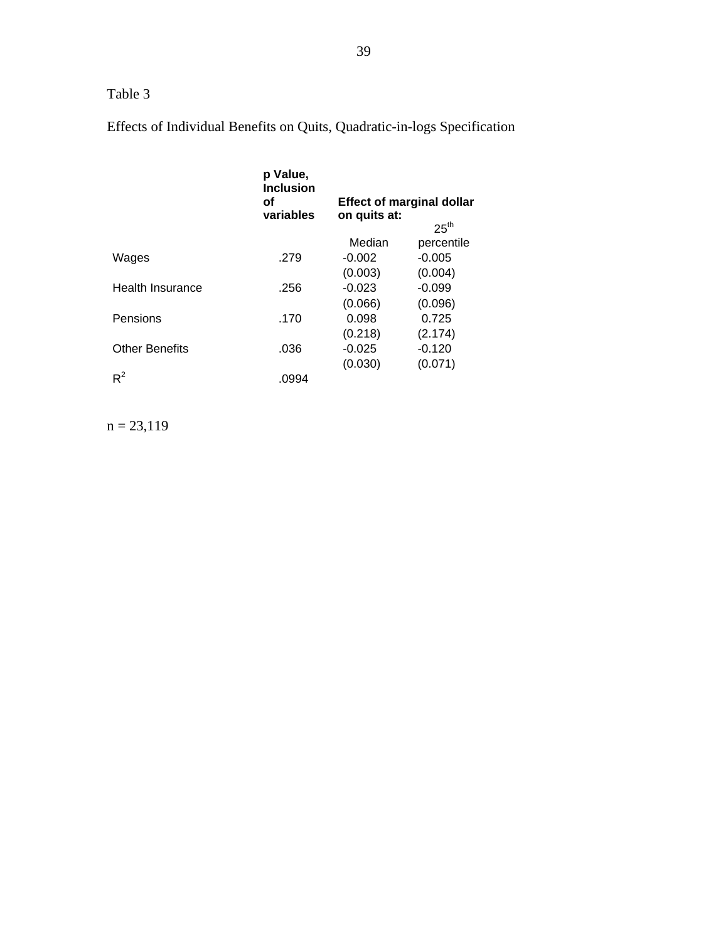Effects of Individual Benefits on Quits, Quadratic-in-logs Specification

|                       | p Value,<br><b>Inclusion</b><br>οf<br>variables | <b>Effect of marginal dollar</b><br>on quits at: | 25 <sup>th</sup> |
|-----------------------|-------------------------------------------------|--------------------------------------------------|------------------|
|                       |                                                 | Median                                           | percentile       |
| Wages                 | .279                                            | $-0.002$                                         | $-0.005$         |
|                       |                                                 | (0.003)                                          | (0.004)          |
| Health Insurance      | .256                                            | $-0.023$                                         | $-0.099$         |
|                       |                                                 | (0.066)                                          | (0.096)          |
| Pensions              | .170                                            | 0.098                                            | 0.725            |
|                       |                                                 | (0.218)                                          | (2.174)          |
| <b>Other Benefits</b> | .036                                            | $-0.025$                                         | $-0.120$         |
|                       |                                                 | (0.030)                                          | (0.071)          |
| $R^2$                 | .0994                                           |                                                  |                  |

 $n = 23,119$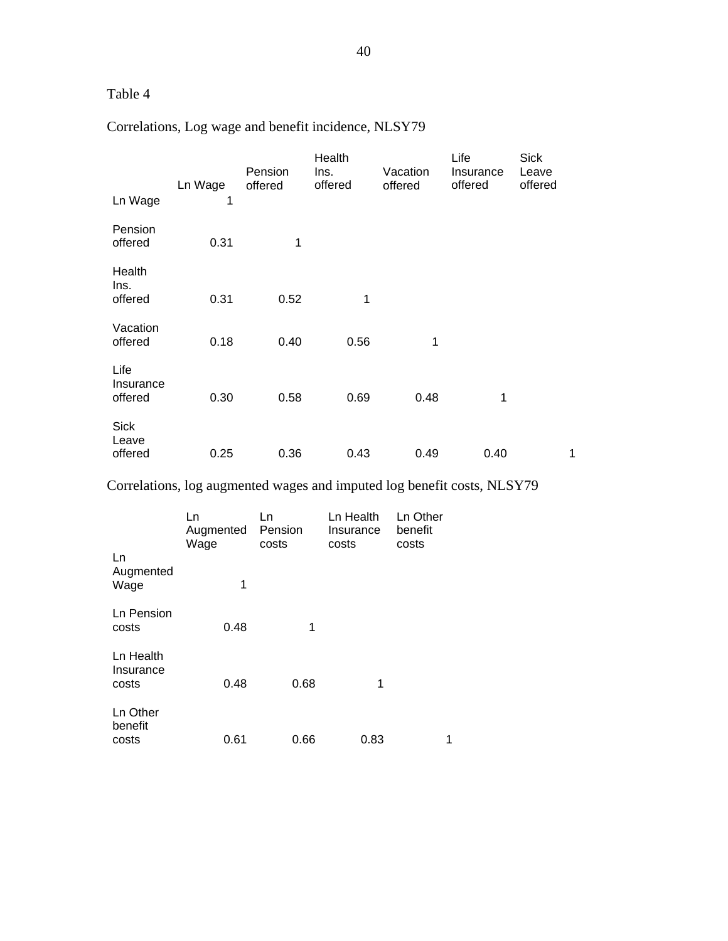|                                 | Ln Wage<br>1 | Pension<br>offered | Health<br>Ins.<br>offered | Vacation<br>offered | Life<br>Insurance<br>offered | Sick<br>Leave<br>offered |   |
|---------------------------------|--------------|--------------------|---------------------------|---------------------|------------------------------|--------------------------|---|
| Ln Wage                         |              |                    |                           |                     |                              |                          |   |
| Pension<br>offered              | 0.31         | 1                  |                           |                     |                              |                          |   |
| Health<br>Ins.<br>offered       | 0.31         | 0.52               | 1                         |                     |                              |                          |   |
| Vacation<br>offered             | 0.18         | 0.40               | 0.56                      | 1                   |                              |                          |   |
| Life<br>Insurance<br>offered    | 0.30         | 0.58               | 0.69                      | 0.48                | 1                            |                          |   |
| <b>Sick</b><br>Leave<br>offered | 0.25         | 0.36               | 0.43                      | 0.49                | 0.40                         |                          | 1 |

Correlations, Log wage and benefit incidence, NLSY79

Correlations, log augmented wages and imputed log benefit costs, NLSY79

|                                 | Ln<br>Augmented<br>Wage | Ln<br>Pension<br>costs | Ln Health<br>Insurance<br>costs | Ln Other<br>benefit<br>costs |
|---------------------------------|-------------------------|------------------------|---------------------------------|------------------------------|
| Ln<br>Augmented<br>Wage         | 1                       |                        |                                 |                              |
| Ln Pension<br>costs             | 0.48                    | 1                      |                                 |                              |
| Ln Health<br>Insurance<br>costs | 0.48                    | 0.68                   | 1                               |                              |
| Ln Other<br>benefit<br>costs    | 0.61                    | 0.66                   | 0.83                            | 1                            |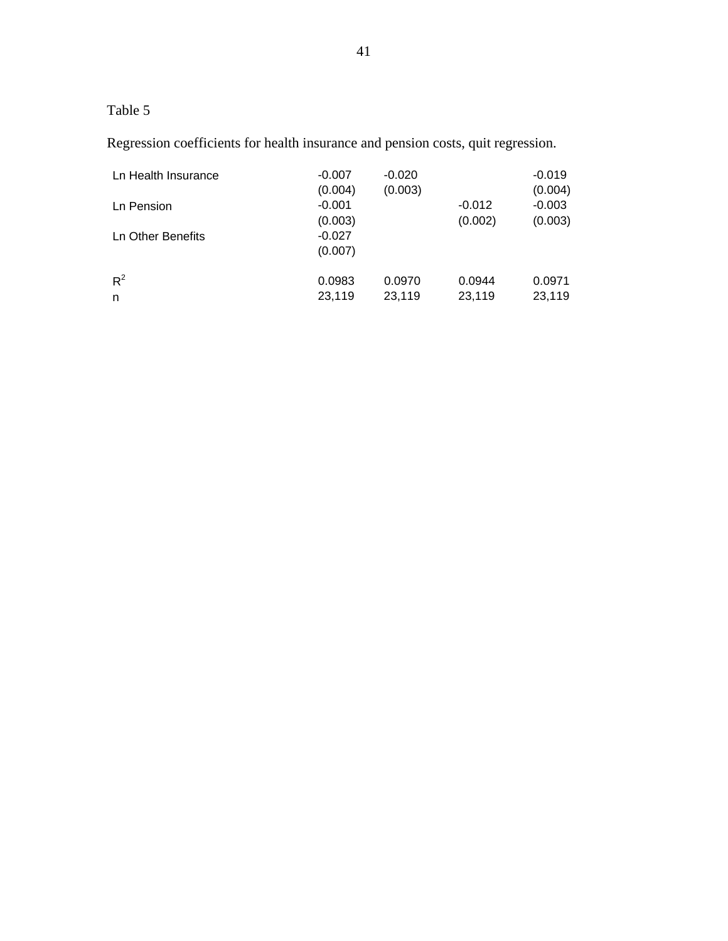Regression coefficients for health insurance and pension costs, quit regression.

| Ln Health Insurance | $-0.007$<br>(0.004) | $-0.020$<br>(0.003) |                     | $-0.019$<br>(0.004) |
|---------------------|---------------------|---------------------|---------------------|---------------------|
| Ln Pension          | $-0.001$<br>(0.003) |                     | $-0.012$<br>(0.002) | $-0.003$<br>(0.003) |
| Ln Other Benefits   | $-0.027$<br>(0.007) |                     |                     |                     |
| $R^2$<br>n          | 0.0983<br>23,119    | 0.0970<br>23,119    | 0.0944<br>23,119    | 0.0971<br>23,119    |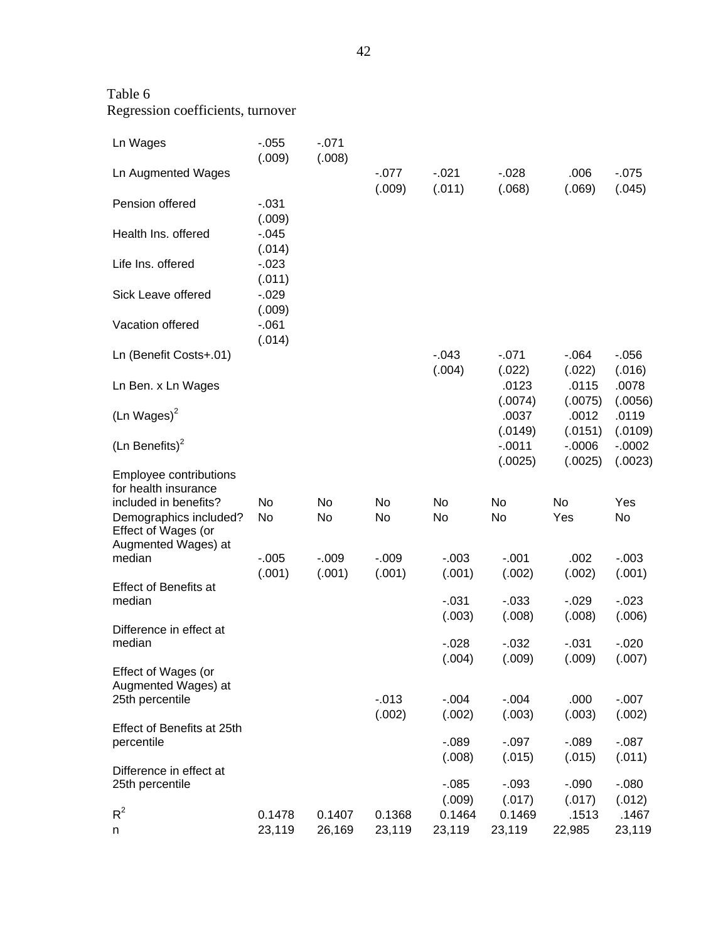Regression coefficients, turnover

| Ln Wages                                                               | $-0.055$<br>(.009) | $-071$<br>(.008)  |                    |                            |                            |                           |                           |
|------------------------------------------------------------------------|--------------------|-------------------|--------------------|----------------------------|----------------------------|---------------------------|---------------------------|
| <b>Ln Augmented Wages</b>                                              |                    |                   | $-0.077$<br>(.009) | $-0.021$<br>(.011)         | $-0.028$<br>(.068)         | .006<br>(.069)            | $-0.075$<br>(.045)        |
| Pension offered                                                        | $-0.031$<br>(.009) |                   |                    |                            |                            |                           |                           |
| Health Ins. offered                                                    | $-0.045$<br>(.014) |                   |                    |                            |                            |                           |                           |
| Life Ins. offered                                                      | $-0.023$<br>(.011) |                   |                    |                            |                            |                           |                           |
| Sick Leave offered                                                     | $-0.029$<br>(.009) |                   |                    |                            |                            |                           |                           |
| Vacation offered                                                       | $-061$<br>(.014)   |                   |                    |                            |                            |                           |                           |
| Ln (Benefit Costs+.01)                                                 |                    |                   |                    | $-.043$<br>(.004)          | $-071$<br>(.022)           | $-064$<br>(.022)          | $-0.056$<br>(.016)        |
| Ln Ben. x Ln Wages                                                     |                    |                   |                    |                            | .0123<br>(.0074)           | .0115<br>(.0075)          | .0078<br>(.0056)          |
| $(Ln \text{ Wages})^2$                                                 |                    |                   |                    |                            | .0037<br>(.0149)           | .0012<br>(.0151)          | .0119<br>(.0109)          |
| (Ln Benefits) $2$                                                      |                    |                   |                    |                            | $-0.011$<br>(.0025)        | $-0.0006$<br>(.0025)      | $-0.0002$<br>(.0023)      |
| Employee contributions<br>for health insurance                         |                    |                   |                    |                            |                            |                           |                           |
|                                                                        |                    |                   |                    |                            |                            |                           |                           |
| included in benefits?<br>Demographics included?<br>Effect of Wages (or | No<br>No           | No<br>No          | No<br>No           | No<br>No                   | No<br>No                   | No<br>Yes                 | Yes<br>No                 |
| Augmented Wages) at<br>median                                          | $-0.005$<br>(.001) | $-0.09$<br>(.001) | $-0.009$<br>(.001) | $-0.003$<br>(.001)         | $-.001$<br>(.002)          | .002<br>(.002)            | $-0.003$<br>(.001)        |
| <b>Effect of Benefits at</b><br>median                                 |                    |                   |                    | $-0.031$                   | $-0.033$                   | $-0.029$                  | $-0.023$                  |
| Difference in effect at<br>median                                      |                    |                   |                    | (.003)<br>$-0.028$         | (.008)<br>$-0.032$         | (.008)<br>$-0.031$        | (.006)<br>$-0.020$        |
| Effect of Wages (or<br>Augmented Wages) at                             |                    |                   |                    | (.004)                     | (.009)                     | (.009)                    | (.007)                    |
| 25th percentile                                                        |                    |                   | $-0.013$<br>(.002) | $-0.004$<br>(.002)         | $-0.004$<br>(.003)         | .000<br>(.003)            | $-0.007$<br>(.002)        |
| Effect of Benefits at 25th<br>percentile                               |                    |                   |                    | $-0.089$                   | $-0.097$                   | $-089$                    | $-087$                    |
| Difference in effect at<br>25th percentile                             |                    |                   |                    | (.008)<br>$-0.085$         | (.015)<br>$-0.093$         | (.015)<br>$-0.090$        | (.011)<br>$-080$          |
| $R^2$                                                                  | 0.1478<br>23,119   | 0.1407<br>26,169  | 0.1368<br>23,119   | (.009)<br>0.1464<br>23,119 | (.017)<br>0.1469<br>23,119 | (.017)<br>.1513<br>22,985 | (.012)<br>.1467<br>23,119 |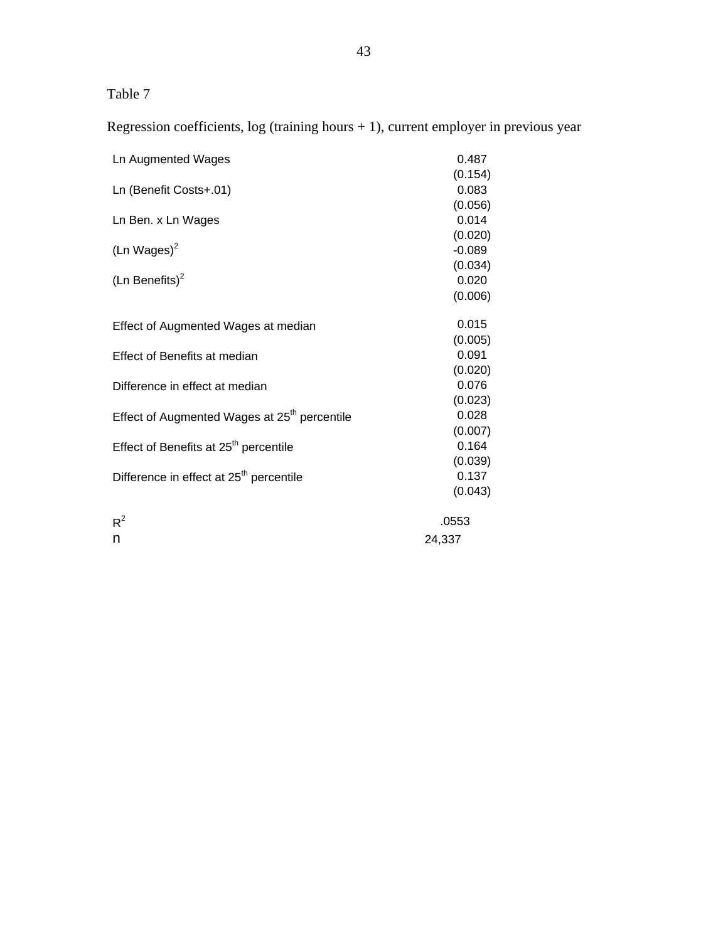Regression coefficients, log (training hours + 1), current employer in previous year

| <b>Ln Augmented Wages</b>                                | 0.487    |
|----------------------------------------------------------|----------|
|                                                          | (0.154)  |
| Ln (Benefit Costs+.01)                                   | 0.083    |
|                                                          | (0.056)  |
| Ln Ben. x Ln Wages                                       | 0.014    |
|                                                          | (0.020)  |
| $(Ln \text{ Wages})^2$                                   | $-0.089$ |
|                                                          | (0.034)  |
| (Ln Benefits) $2$                                        | 0.020    |
|                                                          | (0.006)  |
| Effect of Augmented Wages at median                      | 0.015    |
|                                                          | (0.005)  |
| Effect of Benefits at median                             | 0.091    |
|                                                          | (0.020)  |
| Difference in effect at median                           | 0.076    |
|                                                          | (0.023)  |
| Effect of Augmented Wages at 25 <sup>th</sup> percentile | 0.028    |
|                                                          | (0.007)  |
| Effect of Benefits at 25 <sup>th</sup> percentile        | 0.164    |
|                                                          | (0.039)  |
| Difference in effect at 25 <sup>th</sup> percentile      | 0.137    |
|                                                          | (0.043)  |
| $R^2$                                                    | .0553    |
| n                                                        | 24,337   |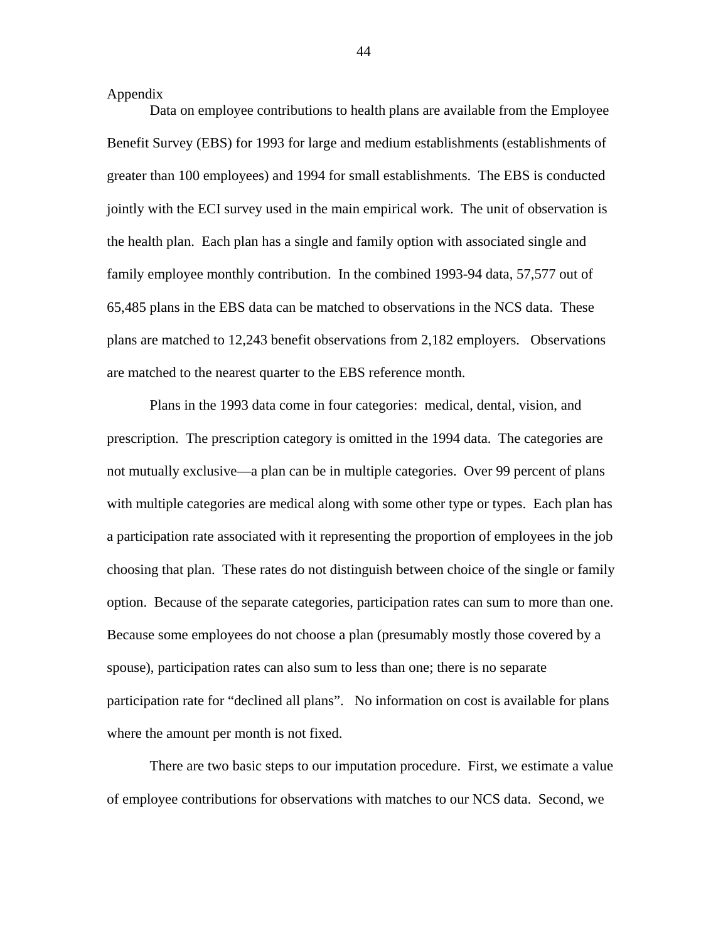Appendix

Data on employee contributions to health plans are available from the Employee Benefit Survey (EBS) for 1993 for large and medium establishments (establishments of greater than 100 employees) and 1994 for small establishments. The EBS is conducted jointly with the ECI survey used in the main empirical work. The unit of observation is the health plan. Each plan has a single and family option with associated single and family employee monthly contribution. In the combined 1993-94 data, 57,577 out of 65,485 plans in the EBS data can be matched to observations in the NCS data. These plans are matched to 12,243 benefit observations from 2,182 employers. Observations are matched to the nearest quarter to the EBS reference month.

Plans in the 1993 data come in four categories: medical, dental, vision, and prescription. The prescription category is omitted in the 1994 data. The categories are not mutually exclusive—a plan can be in multiple categories. Over 99 percent of plans with multiple categories are medical along with some other type or types. Each plan has a participation rate associated with it representing the proportion of employees in the job choosing that plan. These rates do not distinguish between choice of the single or family option. Because of the separate categories, participation rates can sum to more than one. Because some employees do not choose a plan (presumably mostly those covered by a spouse), participation rates can also sum to less than one; there is no separate participation rate for "declined all plans". No information on cost is available for plans where the amount per month is not fixed.

There are two basic steps to our imputation procedure. First, we estimate a value of employee contributions for observations with matches to our NCS data. Second, we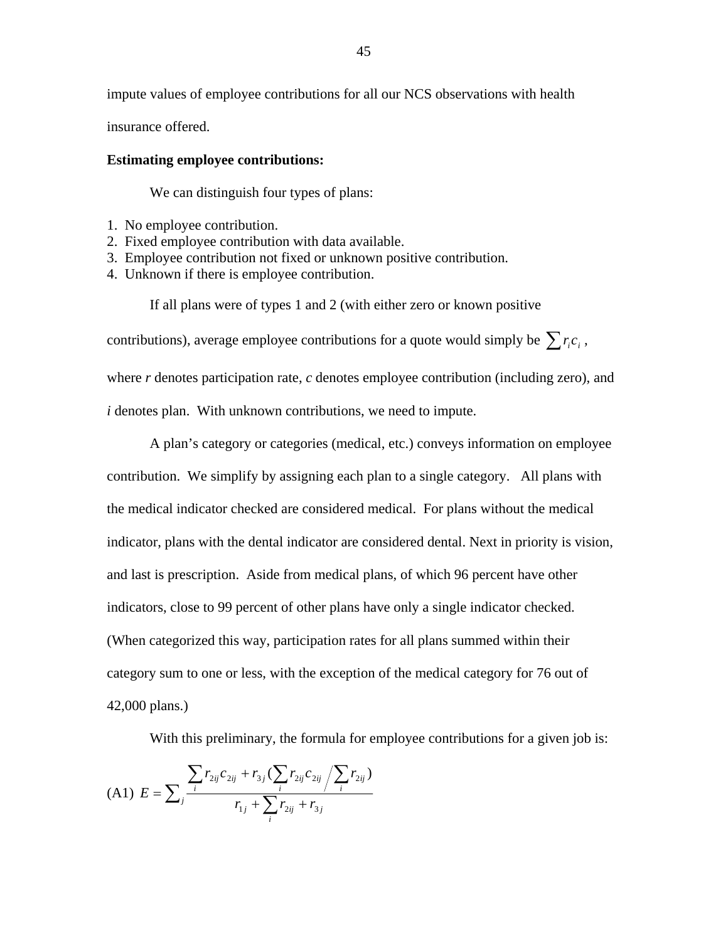impute values of employee contributions for all our NCS observations with health insurance offered.

### **Estimating employee contributions:**

We can distinguish four types of plans:

- 1. No employee contribution.
- 2. Fixed employee contribution with data available.
- 3. Employee contribution not fixed or unknown positive contribution.
- 4. Unknown if there is employee contribution.

If all plans were of types 1 and 2 (with either zero or known positive

contributions), average employee contributions for a quote would simply be  $\sum_i r_i c_i$ , where *r* denotes participation rate, *c* denotes employee contribution (including zero), and *i* denotes plan. With unknown contributions, we need to impute.

A plan's category or categories (medical, etc.) conveys information on employee contribution. We simplify by assigning each plan to a single category. All plans with the medical indicator checked are considered medical. For plans without the medical indicator, plans with the dental indicator are considered dental. Next in priority is vision, and last is prescription. Aside from medical plans, of which 96 percent have other indicators, close to 99 percent of other plans have only a single indicator checked. (When categorized this way, participation rates for all plans summed within their category sum to one or less, with the exception of the medical category for 76 out of 42,000 plans.)

With this preliminary, the formula for employee contributions for a given job is:

(A1) 
$$
E = \sum_{j} \frac{\sum_{i} r_{2ij} c_{2ij} + r_{3j} (\sum_{i} r_{2ij} c_{2ij} / \sum_{i} r_{2ij})}{r_{1j} + \sum_{i} r_{2ij} + r_{3j}}
$$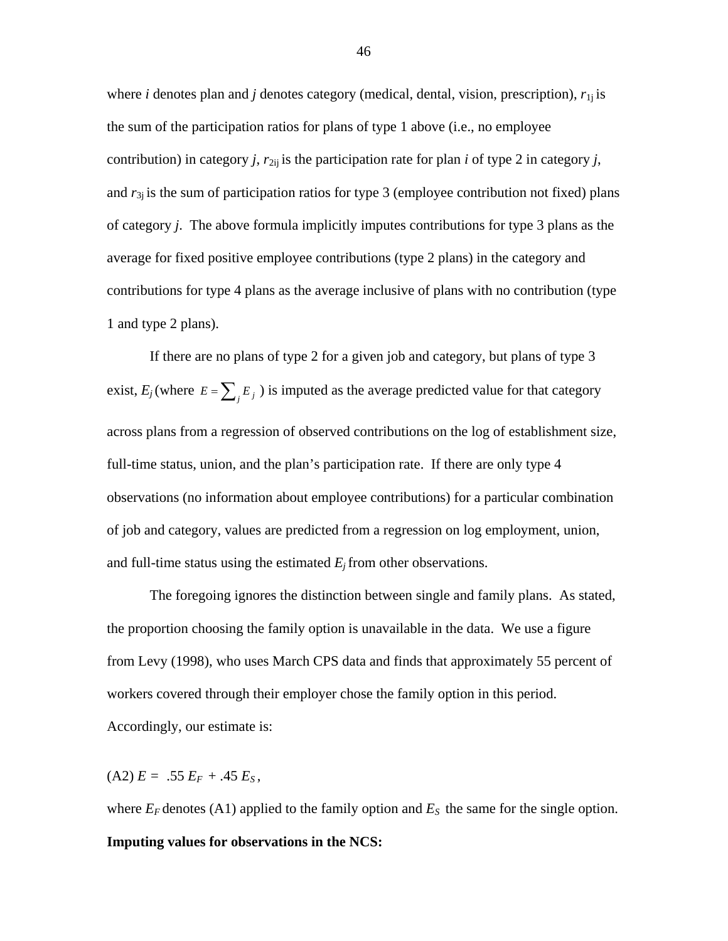where *i* denotes plan and *j* denotes category (medical, dental, vision, prescription),  $r_{1i}$  is the sum of the participation ratios for plans of type 1 above (i.e., no employee contribution) in category *j*,  $r_{2ij}$  is the participation rate for plan *i* of type 2 in category *j*, and  $r_{3i}$  is the sum of participation ratios for type 3 (employee contribution not fixed) plans of category *j*. The above formula implicitly imputes contributions for type 3 plans as the average for fixed positive employee contributions (type 2 plans) in the category and contributions for type 4 plans as the average inclusive of plans with no contribution (type 1 and type 2 plans).

If there are no plans of type 2 for a given job and category, but plans of type 3 exist,  $E_j$  (where  $E = \sum_j E_j$ ) is imputed as the average predicted value for that category across plans from a regression of observed contributions on the log of establishment size, full-time status, union, and the plan's participation rate. If there are only type 4 observations (no information about employee contributions) for a particular combination of job and category, values are predicted from a regression on log employment, union, and full-time status using the estimated  $E_i$  from other observations.

The foregoing ignores the distinction between single and family plans. As stated, the proportion choosing the family option is unavailable in the data. We use a figure from Levy (1998), who uses March CPS data and finds that approximately 55 percent of workers covered through their employer chose the family option in this period. Accordingly, our estimate is:

 $(A2) E = .55 E_F + .45 E_S,$ 

where  $E_F$  denotes (A1) applied to the family option and  $E_S$  the same for the single option. **Imputing values for observations in the NCS:**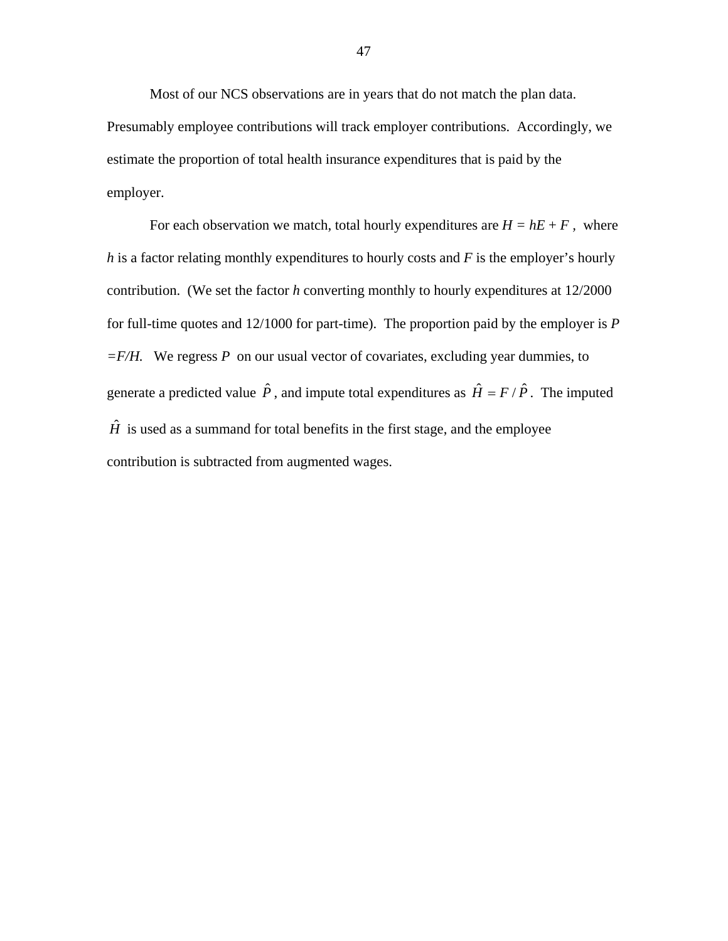Most of our NCS observations are in years that do not match the plan data.

Presumably employee contributions will track employer contributions. Accordingly, we estimate the proportion of total health insurance expenditures that is paid by the employer.

For each observation we match, total hourly expenditures are  $H = hE + F$ , where *h* is a factor relating monthly expenditures to hourly costs and *F* is the employer's hourly contribution. (We set the factor *h* converting monthly to hourly expenditures at 12/2000 for full-time quotes and 12/1000 for part-time). The proportion paid by the employer is *P =F/H.* We regress *P* on our usual vector of covariates, excluding year dummies, to generate a predicted value  $\hat{P}$ , and impute total expenditures as  $\hat{H} = F/\hat{P}$ . The imputed  $\hat{H}$  is used as a summand for total benefits in the first stage, and the employee contribution is subtracted from augmented wages.